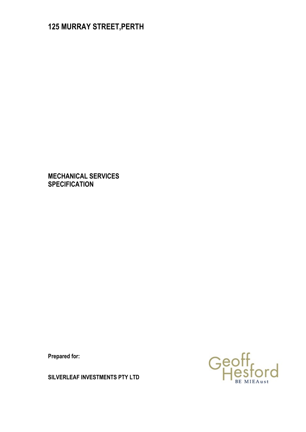# **125 MURRAY STREET,PERTH**

**MECHANICAL SERVICES SPECIFICATION**

**Prepared for:** 

Geoff<br>Hesford

**SILVERLEAF INVESTMENTS PTY LTD**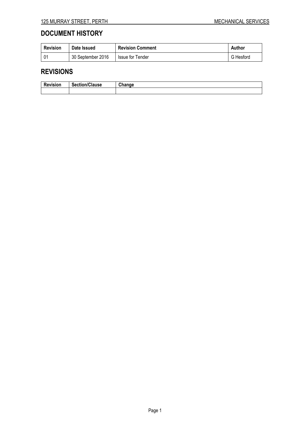# **DOCUMENT HISTORY**

| <b>Revision</b> | Date Issued       | <b>Revision Comment</b> | Author    |
|-----------------|-------------------|-------------------------|-----------|
| -01             | 30 September 2016 | Issue for Tender        | G Hesford |

# **REVISIONS**

| -<br><b>Revision</b> | <b>Section/Clause</b> | <b>Channel</b><br> |
|----------------------|-----------------------|--------------------|
|                      |                       |                    |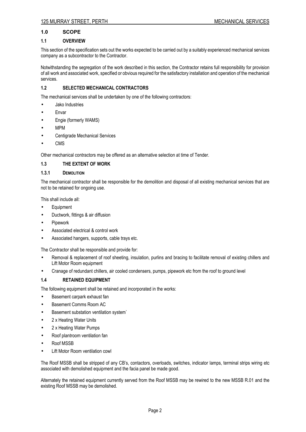# **1.0 SCOPE**

# **1.1 OVERVIEW**

This section of the specification sets out the works expected to be carried out by a suitably experienced mechanical services company as a subcontractor to the Contractor.

Notwithstanding the segregation of the work described in this section, the Contractor retains full responsibility for provision of all work and associated work, specified or obvious required for the satisfactory installation and operation of the mechanical services.

# **1.2 SELECTED MECHANICAL CONTRACTORS**

The mechanical services shall be undertaken by one of the following contractors:

- Jako Industries
- **Envar**
- Engie (formerly WAMS)
- MPM
- Centigrade Mechanical Services
- CMS

Other mechanical contractors may be offered as an alternative selection at time of Tender.

# **1.3 THE EXTENT OF WORK**

# **1.3.1 DEMOLITION**

The mechanical contractor shall be responsible for the demolition and disposal of all existing mechanical services that are not to be retained for ongoing use.

This shall include all:

- **Equipment**
- Ductwork, fittings & air diffusion
- Pipework
- Associated electrical & control work
- Associated hangers, supports, cable trays etc.

The Contractor shall be responsible and provide for:

- Removal & replacement of roof sheeting, insulation, purlins and bracing to facilitate removal of existing chillers and Lift Motor Room equipment
- Cranage of redundant chillers, air cooled condensers, pumps, pipework etc from the roof to ground level

# **1.4 RETAINED EQUIPMENT**

The following equipment shall be retained and incorporated in the works:

- Basement carpark exhaust fan
- Basement Comms Room AC
- Basement substation ventilation system`
- 2 x Heating Water Units
- 2 x Heating Water Pumps
- Roof plantroom ventilation fan
- Roof MSSB
- Lift Motor Room ventilation cowl

The Roof MSSB shall be stripped of any CB's, contactors, overloads, switches, indicator lamps, terminal strips wiring etc associated with demolished equipment and the facia panel be made good.

Alternately the retained equipment currently served from the Roof MSSB may be rewired to the new MSSB R.01 and the existing Roof MSSB may be demolished.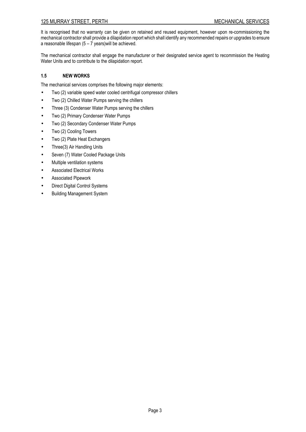# 125 MURRAY STREET, PERTH MECHANICAL SERVICES

It is recognised that no warranty can be given on retained and reused equipment, however upon re-commissioning the mechanical contractor shall provide a dilapidation report which shall identify any recommended repairs or upgrades to ensure a reasonable lifespan  $(5 - 7$  years) will be achieved.

The mechanical contractor shall engage the manufacturer or their designated service agent to recommission the Heating Water Units and to contribute to the dilapidation report.

# **1.5 NEW WORKS**

The mechanical services comprises the following major elements:

- Two (2) variable speed water cooled centrifugal compressor chillers
- Two (2) Chilled Water Pumps serving the chillers
- Three (3) Condenser Water Pumps serving the chillers
- Two (2) Primary Condenser Water Pumps
- Two (2) Secondary Condenser Water Pumps
- Two (2) Cooling Towers
- Two (2) Plate Heat Exchangers
- Three(3) Air Handling Units
- Seven (7) Water Cooled Package Units
- Multiple ventilation systems
- Associated Electrical Works
- Associated Pipework
- Direct Digital Control Systems
- Building Management System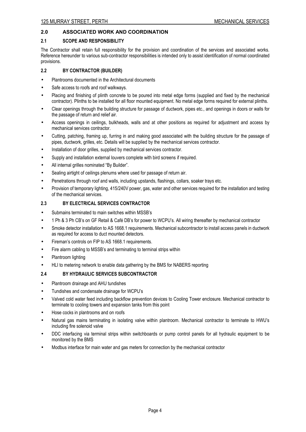# **2.0 ASSOCIATED WORK AND COORDINATION**

# **2.1 SCOPE AND RESPONSIBILITY**

The Contractor shall retain full responsibility for the provision and coordination of the services and associated works. Reference hereunder to various sub-contractor responsibilities is intended only to assist identification of normal coordinated provisions.

# **2.2 BY CONTRACTOR (BUILDER)**

- Plantrooms documented in the Architectural documents
- Safe access to roofs and roof walkways.
- Placing and finishing of plinth concrete to be poured into metal edge forms (supplied and fixed by the mechanical contractor). Plinths to be installed for all floor mounted equipment. No metal edge forms required for external plinths.
- Clear openings through the building structure for passage of ductwork, pipes etc., and openings in doors or walls for the passage of return and relief air.
- Access openings in ceilings, bulkheads, walls and at other positions as required for adjustment and access by mechanical services contractor.
- Cutting, patching, framing up, furring in and making good associated with the building structure for the passage of pipes, ductwork, grilles, etc. Details will be supplied by the mechanical services contractor.
- Installation of door grilles, supplied by mechanical services contractor.
- Supply and installation external louvers complete with bird screens if required.
- All internal grilles nominated "By Builder".
- Sealing airtight of ceilings plenums where used for passage of return air.
- Penetrations through roof and walls, including upstands, flashings, collars, soaker trays etc.
- Provision of temporary lighting, 415/240V power, gas, water and other services required for the installation and testing of the mechanical services.

# **2.3 BY ELECTRICAL SERVICES CONTRACTOR**

- Submains terminated to main switches within MSSB's
- 1 Ph & 3 Ph CB's on GF Retail & Café DB's for power to WCPU's. All wiring thereafter by mechanical contractor
- Smoke detector installation to AS 1668.1 requirements. Mechanical subcontractor to install access panels in ductwork as required for access to duct mounted detectors.
- Fireman's controls on FIP to AS 1668.1 requirements.
- Fire alarm cabling to MSSB's and terminating to terminal strips within
- Plantroom lighting
- HLI to metering network to enable data gathering by the BMS for NABERS reporting

# **2.4 BY HYDRAULIC SERVICES SUBCONTRACTOR**

- Plantroom drainage and AHU tundishes
- Tundishes and condensate drainage for WCPU's
- Valved cold water feed including backflow prevention devices to Cooling Tower enclosure. Mechanical contractor to terminate to cooling towers and expansion tanks from this point
- Hose cocks in plantrooms and on roofs
- Natural gas mains terminating in isolating valve within plantroom. Mechanical contractor to terminate to HWU's including fire solenoid valve
- DDC interfacing via terminal strips within switchboards or pump control panels for all hydraulic equipment to be monitored by the BMS
- Modbus interface for main water and gas meters for connection by the mechanical contractor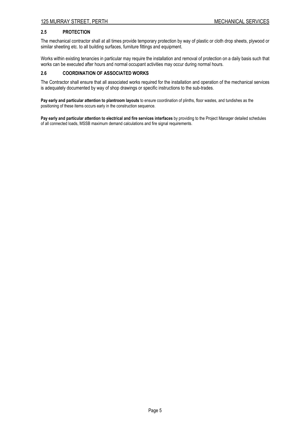# **2.5 PROTECTION**

The mechanical contractor shall at all times provide temporary protection by way of plastic or cloth drop sheets, plywood or similar sheeting etc. to all building surfaces, furniture fittings and equipment.

Works within existing tenancies in particular may require the installation and removal of protection on a daily basis such that works can be executed after hours and normal occupant activities may occur during normal hours.

# **2.6 COORDINATION OF ASSOCIATED WORKS**

The Contractor shall ensure that all associated works required for the installation and operation of the mechanical services is adequately documented by way of shop drawings or specific instructions to the sub-trades.

**Pay early and particular attention to plantroom layouts** to ensure coordination of plinths, floor wastes, and tundishes as the positioning of these items occurs early in the construction sequence.

**Pay early and particular attention to electrical and fire services interfaces** by providing to the Project Manager detailed schedules of all connected loads, MSSB maximum demand calculations and fire signal requirements.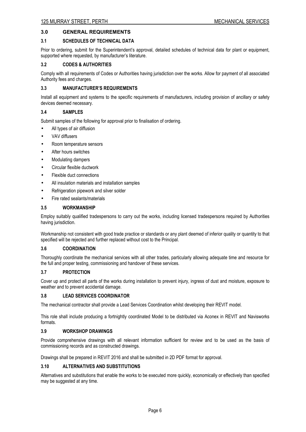# **3.0 GENERAL REQUIREMENTS**

#### **3.1 SCHEDULES OF TECHNICAL DATA**

Prior to ordering, submit for the Superintendent's approval, detailed schedules of technical data for plant or equipment, supported where requested, by manufacturer's literature.

# **3.2 CODES & AUTHORITIES**

Comply with all requirements of Codes or Authorities having jurisdiction over the works. Allow for payment of all associated Authority fees and charges.

# **3.3 MANUFACTURER'S REQUIREMENTS**

Install all equipment and systems to the specific requirements of manufacturers, including provision of ancillary or safety devices deemed necessary.

# **3.4 SAMPLES**

Submit samples of the following for approval prior to finalisation of ordering.

- All types of air diffusion
- VAV diffusers
- Room temperature sensors
- After hours switches
- Modulating dampers
- Circular flexible ductwork
- Flexible duct connections
- All insulation materials and installation samples
- Refrigeration pipework and silver solder
- Fire rated sealants/materials

# **3.5 WORKMANSHIP**

Employ suitably qualified tradespersons to carry out the works, including licensed tradespersons required by Authorities having jurisdiction.

Workmanship not consistent with good trade practice or standards or any plant deemed of inferior quality or quantity to that specified will be rejected and further replaced without cost to the Principal.

#### **3.6 COORDINATION**

Thoroughly coordinate the mechanical services with all other trades, particularly allowing adequate time and resource for the full and proper testing, commissioning and handover of these services.

#### **3.7 PROTECTION**

Cover up and protect all parts of the works during installation to prevent injury, ingress of dust and moisture, exposure to weather and to prevent accidental damage.

#### **3.8 LEAD SERVICES COORDINATOR**

The mechanical contractor shall provide a Lead Services Coordination whilst developing their REVIT model.

This role shall include producing a fortnightly coordinated Model to be distributed via Aconex in REVIT and Navisworks formats.

#### **3.9 WORKSHOP DRAWINGS**

Provide comprehensive drawings with all relevant information sufficient for review and to be used as the basis of commissioning records and as constructed drawings.

Drawings shall be prepared in REVIT 2016 and shall be submitted in 2D PDF format for approval.

#### **3.10 ALTERNATIVES AND SUBSTITUTIONS**

Alternatives and substitutions that enable the works to be executed more quickly, economically or effectively than specified may be suggested at any time.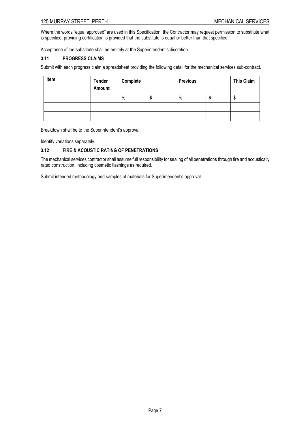Where the words "equal approved" are used in this Specification, the Contractor may request permission to substitute what is specified, providing certification is provided that the substitute is equal or better than that specified.

Acceptance of the substitute shall be entirely at the Superintendent's discretion.

# **3.11 PROGRESS CLAIMS**

Submit with each progress claim a spreadsheet providing the following detail for the mechanical services sub-contract.

| Item | <b>Tender</b><br>Amount | Complete | <b>Previous</b> |    | <b>This Claim</b> |
|------|-------------------------|----------|-----------------|----|-------------------|
|      |                         | %        | %               | ۰U | Ψ                 |
|      |                         |          |                 |    |                   |
|      |                         |          |                 |    |                   |

Breakdown shall be to the Superintendent's approval.

Identify variations separately.

# **3.12 FIRE & ACOUSTIC RATING OF PENETRATIONS**

The mechanical services contractor shall assume full responsibility for sealing of all penetrations through fire and acoustically rated construction, including cosmetic flashings as required.

Submit intended methodology and samples of materials for Superintendent's approval.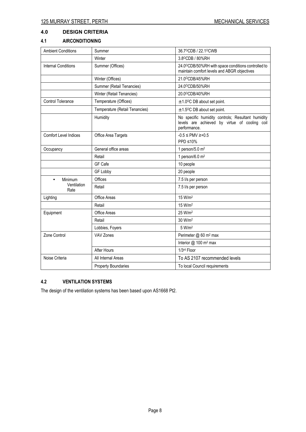# **4.0 DESIGN CRITERIA**

# **4.1 AIRCONDITIONING**

| <b>Ambient Conditions</b>    | Summer                         | 36.7°CDB / 22.1°CWB                                                                                                |
|------------------------------|--------------------------------|--------------------------------------------------------------------------------------------------------------------|
|                              | Winter                         | 3.8°CDB / 80%RH                                                                                                    |
| <b>Internal Conditions</b>   | Summer (Offices)               | 24.0°CDB/50%RH with space conditions controlled to<br>maintain comfort levels and ABGR objectives                  |
|                              | Winter (Offices)               | 21.0°CDB/45%RH                                                                                                     |
|                              | Summer (Retail Tenancies)      | 24.0°CDB/50%RH                                                                                                     |
|                              | Winter (Retail Tenancies)      | 20.0°CDB/40%RH                                                                                                     |
| <b>Control Tolerance</b>     | Temperature (Offices)          | $\pm$ 1.0°C DB about set point.                                                                                    |
|                              | Temperature (Retail Tenancies) | $\pm$ 1.5 <sup>o</sup> C DB about set point.                                                                       |
|                              | Humidity                       | No specific humidity controls; Resultant humidity<br>levels are achieved by virtue of cooling coil<br>performance. |
| <b>Comfort Level Indices</b> | Office Area Targets            | $-0.5 \le PMV \ge +0.5$<br>PPD ≤10%                                                                                |
| Occupancy                    | General office areas           | 1 person/5.0 $m2$                                                                                                  |
|                              | Retail                         | 1 person/6.0 $m2$                                                                                                  |
|                              | GF Cafe                        | 10 people                                                                                                          |
|                              | GF Lobby                       | 20 people                                                                                                          |
| Minimum<br>$\bullet$         | Offices                        | 7.5 l/s per person                                                                                                 |
| Ventilation<br>Rate          | Retail                         | 7.5 l/s per person                                                                                                 |
| Lighting                     | Office Areas                   | 15 W/m <sup>2</sup>                                                                                                |
|                              | Retail                         | 15 W/m <sup>2</sup>                                                                                                |
| Equipment                    | Office Areas                   | 25 W/m <sup>2</sup>                                                                                                |
|                              | Retail                         | 30 W/m <sup>2</sup>                                                                                                |
|                              | Lobbies, Foyers                | 5 W/m <sup>2</sup>                                                                                                 |
| Zone Control                 | VAV Zones                      | Perimeter @ 60 m <sup>2</sup> max                                                                                  |
|                              |                                | Interior @ 100 m <sup>2</sup> max                                                                                  |
|                              | After Hours                    | 1/3rd Floor                                                                                                        |
| Noise Criteria               | All Internal Areas             | To AS 2107 recommended levels                                                                                      |
|                              | <b>Property Boundaries</b>     | To local Council requirements                                                                                      |

# **4.2 VENTILATION SYSTEMS**

The design of the ventilation systems has been based upon AS1668 Pt2.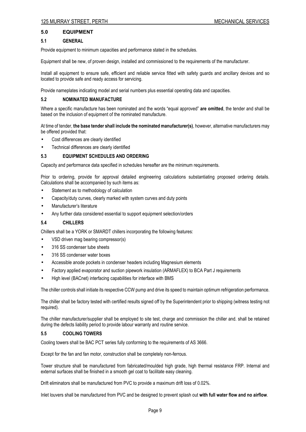# **5.0 EQUIPMENT**

#### **5.1 GENERAL**

Provide equipment to minimum capacities and performance stated in the schedules.

Equipment shall be new, of proven design, installed and commissioned to the requirements of the manufacturer.

Install all equipment to ensure safe, efficient and reliable service fitted with safety guards and ancillary devices and so located to provide safe and ready access for servicing.

Provide nameplates indicating model and serial numbers plus essential operating data and capacities.

# **5.2 NOMINATED MANUFACTURE**

Where a specific manufacture has been nominated and the words "equal approved" **are omitted**, the tender and shall be based on the inclusion of equipment of the nominated manufacture.

At time of tender, **the base tender shall include the nominated manufacturer(s)**, however, alternative manufacturers may be offered provided that:

- Cost differences are clearly identified
- Technical differences are clearly identified

#### **5.3 EQUIPMENT SCHEDULES AND ORDERING**

Capacity and performance data specified in schedules hereafter are the minimum requirements.

Prior to ordering, provide for approval detailed engineering calculations substantiating proposed ordering details. Calculations shall be accompanied by such items as:

- Statement as to methodology of calculation
- Capacity/duty curves, clearly marked with system curves and duty points
- Manufacturer's literature
- Any further data considered essential to support equipment selection/orders

#### **5.4 CHILLERS**

Chillers shall be a YORK or SMARDT chillers incorporating the following features:

- VSD driven mag bearing compressor(s)
- 316 SS condenser tube sheets
- 316 SS condenser water boxes
- Accessible anode pockets in condenser headers including Magnesium elements
- Factory applied evaporator and suction pipework insulation (ARMAFLEX) to BCA Part J requirements
- High level (BACnet) interfacing capabilities for interface with BMS

The chiller controls shall initiate its respective CCW pump and drive its speed to maintain optimum refrigeration performance.

The chiller shall be factory tested with certified results signed off by the Superintendent prior to shipping (witness testing not required).

The chiller manufacturer/supplier shall be employed to site test, charge and commission the chiller and. shall be retained during the defects liability period to provide labour warranty and routine service.

#### **5.5 COOLING TOWERS**

Cooling towers shall be BAC PCT series fully conforming to the requirements of AS 3666.

Except for the fan and fan motor, construction shall be completely non-ferrous.

Tower structure shall be manufactured from fabricated/moulded high grade, high thermal resistance FRP. Internal and external surfaces shall be finished in a smooth gel coat to facilitate easy cleaning.

Drift eliminators shall be manufactured from PVC to provide a maximum drift loss of 0.02%.

Inlet louvers shall be manufactured from PVC and be designed to prevent splash out **with full water flow and no airflow**.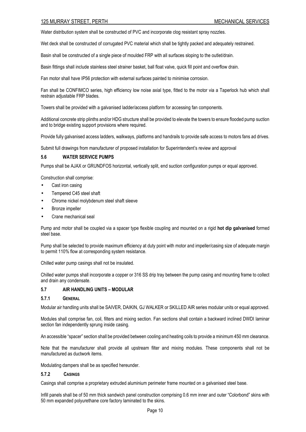Water distribution system shall be constructed of PVC and incorporate clog resistant spray nozzles.

Wet deck shall be constructed of corrugated PVC material which shall be tightly packed and adequately restrained.

Basin shall be constructed of a single piece of moulded FRP with all surfaces sloping to the outlet/drain.

Basin fittings shall include stainless steel strainer basket, ball float valve, quick fill point and overflow drain.

Fan motor shall have IP56 protection with external surfaces painted to minimise corrosion.

Fan shall be CONFIMCO series, high efficiency low noise axial type, fitted to the motor via a Taperlock hub which shall restrain adjustable FRP blades.

Towers shall be provided with a galvanised ladder/access platform for accessing fan components.

Additional concrete strip plinths and/or HDG structure shall be provided to elevate the towers to ensure flooded pump suction and to bridge existing support provisions where required.

Provide fully galvanised access ladders, walkways, platforms and handrails to provide safe access to motors fans ad drives.

Submit full drawings from manufacturer of proposed installation for Superintendent's review and approval

#### **5.6 WATER SERVICE PUMPS**

Pumps shall be AJAX or GRUNDFOS horizontal, vertically split, end suction configuration pumps or equal approved.

Construction shall comprise:

- Cast iron casing
- Tempered C45 steel shaft
- Chrome nickel molybdenum steel shaft sleeve
- Bronze impeller
- Crane mechanical seal

Pump and motor shall be coupled via a spacer type flexible coupling and mounted on a rigid **hot dip galvanised** formed steel base.

Pump shall be selected to provide maximum efficiency at duty point with motor and impeller/casing size of adequate margin to permit 110% flow at corresponding system resistance.

Chilled water pump casings shall not be insulated.

Chilled water pumps shall incorporate a copper or 316 SS drip tray between the pump casing and mounting frame to collect and drain any condensate.

#### **5.7 AIR HANDLING UNITS – MODULAR**

#### **5.7.1 GENERAL**

Modular air handling units shall be SAIVER, DAIKIN, GJ WALKER or SKILLED AIR series modular units or equal approved.

Modules shall comprise fan, coil, filters and mixing section. Fan sections shall contain a backward inclined DWDI laminar section fan independently sprung inside casing.

An accessible "spacer" section shall be provided between cooling and heating coils to provide a minimum 450 mm clearance.

Note that the manufacturer shall provide all upstream filter and mixing modules. These components shall not be manufactured as ductwork items.

Modulating dampers shall be as specified hereunder.

#### **5.7.2 CASINGS**

Casings shall comprise a proprietary extruded aluminium perimeter frame mounted on a galvanised steel base.

Infill panels shall be of 50 mm thick sandwich panel construction comprising 0.6 mm inner and outer "Colorbond" skins with 50 mm expanded polyurethane core factory laminated to the skins.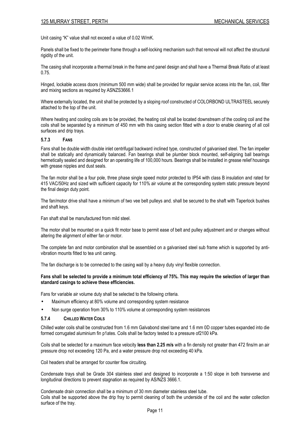Unit casing "K" value shall not exceed a value of 0.02 W/mK.

Panels shall be fixed to the perimeter frame through a self-locking mechanism such that removal will not affect the structural rigidity of the unit.

The casing shall incorporate a thermal break in the frame and panel design and shall have a Thermal Break Ratio of at least 0.75.

Hinged, lockable access doors (minimum 500 mm wide) shall be provided for regular service access into the fan, coil, filter and mixing sections as required by ASNZS3666.1

Where externally located, the unit shall be protected by a sloping roof constructed of COLORBOND ULTRASTEEL securely attached to the top of the unit.

Where heating and cooling coils are to be provided, the heating coil shall be located downstream of the cooling coil and the coils shall be separated by a minimum of 450 mm with this casing section fitted with a door to enable cleaning of all coil surfaces and drip trays.

#### **5.7.3 FANS**

Fans shall be double width double inlet centrifugal backward inclined type, constructed of galvanised steel. The fan impeller shall be statically and dynamically balanced. Fan bearings shall be plumber block mounted, self-aligning ball bearings hermetically sealed and designed for an operating life of 100,000 hours. Bearings shall be installed in grease relief housings with grease nipples and dust seals.

The fan motor shall be a four pole, three phase single speed motor protected to IP54 with class B insulation and rated for 415 VAC/50Hz and sized with sufficient capacity for 110% air volume at the corresponding system static pressure beyond the final design duty point.

The fan/motor drive shall have a minimum of two vee belt pulleys and. shall be secured to the shaft with Taperlock bushes and shaft keys.

Fan shaft shall be manufactured from mild steel.

The motor shall be mounted on a quick fit motor base to permit ease of belt and pulley adjustment and or changes without altering the alignment of either fan or motor.

The complete fan and motor combination shall be assembled on a galvanised steel sub frame which is supported by antivibration mounts fitted to tea unit caning.

The fan discharge is to be connected to the casing wall by a heavy duty vinyl flexible connection.

#### **Fans shall be selected to provide a minimum total efficiency of 75%. This may require the selection of larger than standard casings to achieve these efficiencies.**

Fans for variable air volume duty shall be selected to the following criteria.

- Maximum efficiency at 80% volume and corresponding system resistance
- Non surge operation from 30% to 110% volume at corresponding system resistances

#### **5.7.4 CHILLED WATER COILS**

Chilled water coils shall be constructed from 1.6 mm Galvabond steel tame and 1.6 mm 0D copper tubes expanded into die formed corrugated aluminium fin p1ates. Coils shall be factory tested to a pressure of2100 kPa.

Coils shall be selected for a maximum face velocity **less than 2.25 m/s** with a fin density not greater than 472 fins/m an air pressure drop not exceeding 120 Pa, and a water pressure drop not exceeding 40 kPa.

Coil headers shall be arranged for counter flow circuiting.

Condensate trays shall be Grade 304 stainless steel and designed to incorporate a 1:50 slope in both transverse and longitudinal directions to prevent stagnation as required by AS/NZS 3666.1.

Condensate drain connection shall be a minimum of 30 mm diameter stainless steel tube. Coils shall be supported above the drip fray to permit cleaning of both the underside of the coil and the water collection surface of the trav.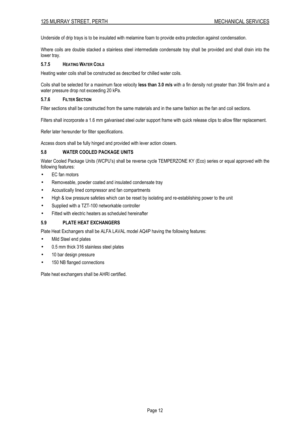Underside of drip trays is to be insulated with melamine foam to provide extra protection against condensation.

Where coils are double stacked a stainless steel intermediate condensate tray shall be provided and shall drain into the lower tray.

#### **5.7.5 HEATING WATER COILS**

Heating water coils shall be constructed as described for chilled water coils.

Coils shall be selected for a maximum face velocity **less than 3.0 m/s** with a fin density not greater than 394 fins/m and a water pressure drop not exceeding 20 kPa.

# **5.7.6 FILTER SECTION**

Filter sections shall be constructed from the same materials and in the same fashion as the fan and coil sections.

Filters shall incorporate a 1.6 mm galvanised steel outer support frame with quick release clips to allow filter replacement.

Refer later hereunder for filter specifications.

Access doors shall be fully hinged and provided with lever action closers.

# **5.8 WATER COOLED PACKAGE UNITS**

Water Cooled Package Units (WCPU's) shall be reverse cycle TEMPERZONE KY (Eco) series or equal approved with the following features:

- EC fan motors
- Removeable, powder coated and insulated condensate tray
- Acoustically lined compressor and fan compartments
- High & low pressure safeties which can be reset by isolating and re-establishing power to the unit
- Supplied with a TZT-100 networkable controller
- Fitted with electric heaters as scheduled hereinafter

# **5.9 PLATE HEAT EXCHANGERS**

Plate Heat Exchangers shall be ALFA LAVAL model AQ4P having the following features:

- Mild Steel end plates
- 0.5 mm thick 316 stainless steel plates
- 10 bar design pressure
- 150 NB flanged connections

Plate heat exchangers shall be AHRI certified.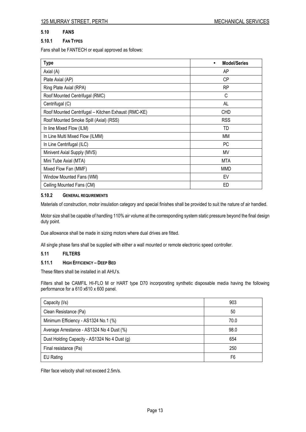# **5.10 FANS**

# **5.10.1 FAN TYPES**

Fans shall be FANTECH or equal approved as follows:

| <b>Type</b>                                         | <b>Model/Series</b><br>$\bullet$ |
|-----------------------------------------------------|----------------------------------|
| Axial (A)                                           | AP                               |
| Plate Axial (AP)                                    | <b>CP</b>                        |
| Ring Plate Axial (RPA)                              | <b>RP</b>                        |
| Roof Mounted Centrifugal (RMC)                      | C                                |
| Centrifugal (C)                                     | AL                               |
| Roof Mounted Centrifugal - Kitchen Exhaust (RMC-KE) | <b>CHD</b>                       |
| Roof Mounted Smoke Spill (Axial) (RSS)              | <b>RSS</b>                       |
| In line Mixed Flow (ILM)                            | TD                               |
| In Line Multi Mixed Flow (ILMM)                     | МM                               |
| In Line Centrifugal (ILC)                           | PC                               |
| Minivent Axial Supply (MVS)                         | MV                               |
| Mini Tube Axial (MTA)                               | <b>MTA</b>                       |
| Mixed Flow Fan (MMF)                                | <b>MMD</b>                       |
| Window Mounted Fans (WM)                            | EV                               |
| Ceiling Mounted Fans (CM)                           | ED                               |

# **5.10.2 GENERAL REQUIREMENTS**

Materials of construction, motor insulation category and special finishes shall be provided to suit the nature of air handled.

Motor size shall be capable of handling 110% air volume at the corresponding system static pressure beyond the final design duty point.

Due allowance shall be made in sizing motors where dual drives are fitted.

All single phase fans shall be supplied with either a wall mounted or remote electronic speed controller.

# **5.11 FILTERS**

# **5.11.1 HIGH EFFICIENCY – DEEP BED**

These filters shall be installed in all AHU's.

Filters shall be CAMFIL HI-FLO M or HART type D70 incorporating synthetic disposable media having the following performance for a 610 x610 x 600 panel.

| Capacity (I/s)                               | 903            |
|----------------------------------------------|----------------|
| Clean Resistance (Pa)                        | 50             |
| Minimum Efficiency - AS1324 No.1 (%)         | 70.0           |
| Average Arrestance - AS1324 No 4 Dust (%)    | 98.0           |
| Dust Holding Capacity - AS1324 No 4 Dust (g) | 654            |
| Final resistance (Pa)                        | 250            |
| EU Rating                                    | F <sub>6</sub> |

Filter face velocity shall not exceed 2.5m/s.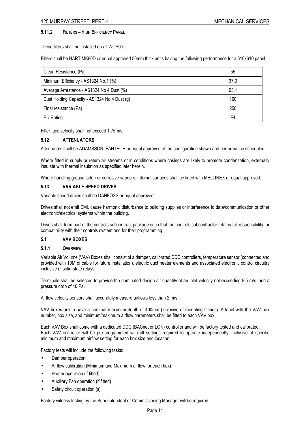# **5.11.2 FILTERS – HIGH EFFICIENCY PANEL**

These filters shall be installed on all WCPU's.

Filters shall be HART MK80D or equal approved 50mm thick units having the following performance for a 610x610 panel.

| Clean Resistance (Pa)                        | 55   |
|----------------------------------------------|------|
| Minimum Efficiency - AS1324 No.1 (%)         | 37.0 |
| Average Arrestance - AS1324 No 4 Dust (%)    | 93.1 |
| Dust Holding Capacity - AS1324 No 4 Dust (g) | 160  |
| Final resistance (Pa)                        | 250  |
| EU Rating                                    | F4   |

Filter face velocity shall not exceed 1.75m/s.

# **5.12 ATTENUATORS**

Attenuators shall be ADAMSSON, FANTECH or equal approved of the configuration shown and performance scheduled.

Where fitted in supply or return air streams or in conditions where casings are likely to promote condensation, externally insulate with thermal insulation as specified later herein.

Where handling grease laden or corrosive vapours, internal surfaces shall be lined with MELLINEX or equal approved.

#### **5.13 VARIABLE SPEED DRIVES**

Variable speed drives shall be DANFOSS or equal approved.

Drives shall not emit EMI, cause harmonic disturbance to building supplies or interference to data/communication or other electronic/electrical systems within the building.

Drives shall form part of the controls subcontract package such that the controls subcontractor retains full responsibility for compatibility with their controls system and for their programming.

#### **5.1 VAV BOXES**

#### **5.1.1 OVERVIEW**

Variable Air Volume (VAV) Boxes shall consist of a damper, calibrated DDC controllers, temperature sensor (connected and provided with 10M of cable for future installation), electric duct heater elements and associated electronic control circuitry inclusive of solid-state relays.

Terminals shall be selected to provide the nominated design air quantity at an inlet velocity not exceeding 8.5 m/s. and a pressure drop of 40 Pa.

Airflow velocity sensors shall accurately measure airflows less than 2 m/s.

VAV boxes are to have a nominal maximum depth of 400mm (inclusive of mounting fittings). A label with the VAV box number, box size, and minimum/maximum airflow parameters shall be fitted to each VAV box.

Each VAV Box shall come with a dedicated DDC (BACnet or LON) controller and will be factory tested and calibrated. Each VAV controller will be pre-programmed with all settings required to operate independently, inclusive of specific minimum and maximum airflow setting for each box size and location.

Factory tests will include the following tasks:

- Damper operation
- Airflow calibration (Minimum and Maximum airflow for each box)
- Heater operation (if fitted)
- Auxiliary Fan operation (if fitted)
- Safety circuit operation (s)

Factory witness testing by the Superintendent or Commissioning Manager will be required.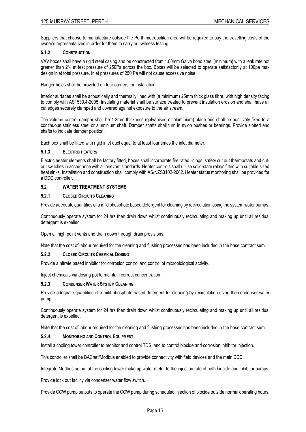Suppliers that choose to manufacture outside the Perth metropolitan area will be required to pay the travelling costs of the owner's representatives in order for them to carry out witness testing.

#### **5.1.2 CONSTRUCTION**

VAV boxes shall have a rigid steel casing and be constructed from 1.00mm Galva bond steel (minimum) with a leak rate not greater than 2% at test pressure of 250Pa across the box. Boxes will be selected to operate satisfactorily at 100pa max design inlet total pressure. Inlet pressures of 250 Pa will not cause excessive noise.

Hanger holes shall be provided on four corners for installation.

Interior surfaces shall be acoustically and thermally lined with (a minimum) 25mm thick glass fibre, with high density facing to comply with AS1530.4-2005. Insulating material shall be surface treated to prevent insulation erosion and shall have all cut edges securely clamped and covered against exposure to the air stream.

The volume control damper shall be 1.2mm thickness (galvanised or aluminium) blade and shall be positively fixed to a continuous stainless steel or aluminium shaft. Damper shafts shall turn in nylon bushes or bearings. Provide slotted end shafts to indicate damper position.

Each box shall be fitted with rigid inlet duct equal to at least four times the inlet diameter.

# **5.1.3 ELECTRIC HEATERS**

Electric heater elements shall be factory fitted, boxes shall incorporate fire rated linings, safety cut out thermostats and cutout switches in accordance with all relevant standards. Heater controls shall utilise solid-state relays fitted with suitable sized heat sinks. Installation and construction shall comply with AS/NZS3102-2002. Heater status monitoring shall be provided for a DDC controller.

# **5.2 WATER TREATMENT SYSTEMS**

#### **5.2.1 CLOSED CIRCUITS CLEANING**

Provide adequate quantities of a mild phosphate based detergent for cleaning by recirculation using the system water pumps.

Continuously operate system for 24 hrs then drain down whilst continuously recirculating and making up until all residual detergent is expelled.

Open all high point vents and drain down through drain provisions.

Note that the cost of labour required for the cleaning and flushing processes has been included in the base contract sum.

#### **5.2.2 CLOSED CIRCUITS CHEMICAL DOSING**

Provide a nitrate based inhibitor for corrosion control and control of microbiological activity.

Inject chemicals via dosing pot to maintain correct concentration.

#### **5.2.3 CONDENSER WATER SYSTEM CLEANING**

Provide adequate quantities of a mild phosphate based detergent for cleaning by recirculation using the condenser water pump.

Continuously operate system for 24 hrs then drain down whilst continuously recirculating and making up until all residual detergent is expelled.

Note that the cost of labour required for the cleaning and flushing processes has been included in the base contract sum.

#### **5.2.4 MONITORING AND CONTROL EQUIPMENT**

Install a cooling tower controller to monitor and control TDS, and to control biocide and corrosion inhibitor injection.

This controller shall be BACnet/Modbus enabled to provide connectivity with field devices and the main DDC

Integrate Modbus output of the cooling tower make up water meter to the injection rate of both biocide and inhibitor pumps.

Provide lock out facility via condenser water flow switch.

Provide CCW pump outputs to operate the CCW pump during scheduled injection of biocide outside normal operating hours.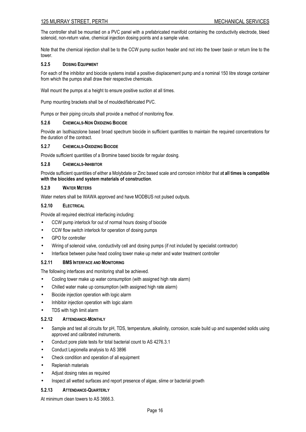The controller shall be mounted on a PVC panel with a prefabricated manifold containing the conductivity electrode, bleed solenoid, non-return valve, chemical injection dosing points and a sample valve.

Note that the chemical injection shall be to the CCW pump suction header and not into the tower basin or return line to the tower.

# **5.2.5 DOSING EQUIPMENT**

For each of the inhibitor and biocide systems install a positive displacement pump and a nominal 150 litre storage container from which the pumps shall draw their respective chemicals.

Wall mount the pumps at a height to ensure positive suction at all times.

Pump mounting brackets shall be of moulded/fabricated PVC.

Pumps or their piping circuits shall provide a method of monitoring flow.

# **5.2.6 CHEMICALS-NON OXIDIZING BIOCIDE**

Provide an Isothiazolone based broad spectrum biocide in sufficient quantities to maintain the required concentrations for the duration of the contract.

#### **5.2.7 CHEMICALS-OXIDIZING BIOCIDE**

Provide sufficient quantities of a Bromine based biocide for regular dosing.

# **5.2.8 CHEMICALS-INHIBITOR**

Provide sufficient quantities of either a Molybdate or Zinc based scale and corrosion inhibitor that a**t all times is compatible with the biocides and system materials of construction**.

# **5.2.9 WATER METERS**

Water meters shall be WAWA approved and have MODBUS not pulsed outputs.

# **5.2.10 ELECTRICAL**

Provide all required electrical interfacing including:

- CCW pump interlock for out of normal hours dosing of biocide
- CCW flow switch interlock for operation of dosing pumps
- GPO for controller
- Wiring of solenoid valve, conductivity cell and dosing pumps (if not included by specialist contractor)
- Interface between pulse head cooling tower make up meter and water treatment controller

# **5.2.11 BMS INTERFACE AND MONITORING**

The following interfaces and monitoring shall be achieved.

- Cooling tower make up water consumption (with assigned high rate alarm)
- Chilled water make up consumption (with assigned high rate alarm)
- Biocide injection operation with logic alarm
- Inhibitor injection operation with logic alarm
- TDS with high limit alarm

# **5.2.12 ATTENDANCE-MONTHLY**

- Sample and test all circuits for pH, TDS, temperature, alkalinity, corrosion, scale build up and suspended solids using approved and calibrated instruments.
- Conduct pore plate tests for total bacterial count to AS 4276.3.1
- Conduct Legionella analysis to AS 3896
- Check condition and operation of all equipment
- Replenish materials
- Adjust dosing rates as required
- Inspect all wetted surfaces and report presence of algae, slime or bacterial growth

#### **5.2.13 ATTENDANCE-QUARTERLY**

At minimum clean towers to AS 3666.3.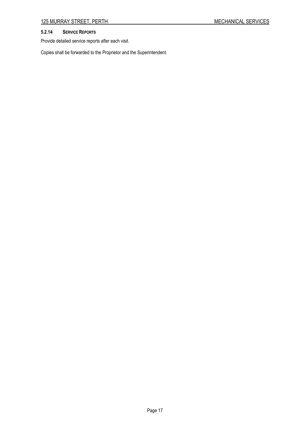# **5.2.14 SERVICE REPORTS**

Provide detailed service reports after each visit.

Copies shall be forwarded to the Proprietor and the Superintendent.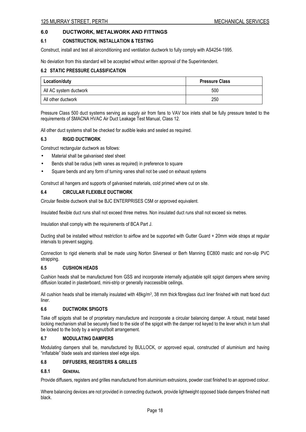# **6.0 DUCTWORK, METALWORK AND FITTINGS**

#### **6.1 CONSTRUCTION, INSTALLATION & TESTING**

Construct, install and test all airconditioning and ventilation ductwork to fully comply with AS4254-1995.

No deviation from this standard will be accepted without written approval of the Superintendent.

#### **6.2 STATIC PRESSURE CLASSIFICATION**

| Location/duty          | <b>Pressure Class</b> |
|------------------------|-----------------------|
| All AC system ductwork | 500                   |
| All other ductwork     | 250                   |

Pressure Class 500 duct systems serving as supply air from fans to VAV box inlets shall be fully pressure tested to the requirements of SMACNA HVAC Air Duct Leakage Test Manual, Class 12.

All other duct systems shall be checked for audible leaks and sealed as required.

#### **6.3 RIGID DUCTWORK**

Construct rectangular ductwork as follows:

- Material shall be galvanised steel sheet
- Bends shall be radius (with vanes as required) in preference to square
- Square bends and any form of turning vanes shall not be used on exhaust systems

Construct all hangers and supports of galvanised materials, cold primed where cut on site.

#### **6.4 CIRCULAR FLEXIBLE DUCTWORK**

Circular flexible ductwork shall be BJC ENTERPRISES C5M or approved equivalent.

Insulated flexible duct runs shall not exceed three metres. Non insulated duct runs shall not exceed six metres.

Insulation shall comply with the requirements of BCA Part J.

Ducting shall be installed without restriction to airflow and be supported with Gutter Guard + 20mm wide straps at regular intervals to prevent sagging.

Connection to rigid elements shall be made using Norton Silverseal or Berh Manning EC800 mastic and non-slip PVC strapping.

#### **6.5 CUSHION HEADS**

Cushion heads shall be manufactured from GSS and incorporate internally adjustable split spigot dampers where serving diffusion located in plasterboard, mini-strip or generally inaccessible ceilings.

All cushion heads shall be internally insulated with 48kg/m<sup>3</sup>, 38 mm thick fibreglass duct liner finished with matt faced duct liner.

#### **6.6 DUCTWORK SPIGOTS**

Take off spigots shall be of proprietary manufacture and incorporate a circular balancing damper. A robust, metal based locking mechanism shall be securely fixed to the side of the spigot with the damper rod keyed to the lever which in turn shall be locked to the body by a wingnut/bolt arrangement.

#### **6.7 MODULATING DAMPERS**

Modulating dampers shall be, manufactured by BULLOCK, or approved equal, constructed of aluminium and having "inflatable" blade seals and stainless steel edge slips.

#### **6.8 DIFFUSERS, REGISTERS & GRILLES**

#### **6.8.1 GENERAL**

Provide diffusers, registers and grilles manufactured from aluminium extrusions, powder coat finished to an approved colour.

Where balancing devices are not provided in connecting ductwork, provide lightweight opposed blade dampers finished matt black.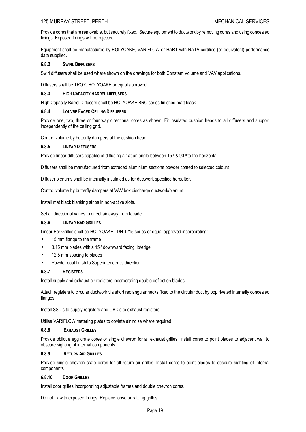# 125 MURRAY STREET, PERTH MECHANICAL SERVICES

Provide cores that are removable, but securely fixed. Secure equipment to ductwork by removing cores and using concealed fixings. Exposed fixings will be rejected.

Equipment shall be manufactured by HOLYOAKE, VARIFLOW or HART with NATA certified (or equivalent) performance data supplied.

#### **6.8.2 SWIRL DIFFUSERS**

Swirl diffusers shall be used where shown on the drawings for both Constant Volume and VAV applications.

Diffusers shall be TROX, HOLYOAKE or equal approved.

# **6.8.3 HIGH CAPACITY BARREL DIFFUSERS**

High Capacity Barrel Diffusers shall be HOLYOAKE BRC series finished matt black.

#### **6.8.4 LOUVRE FACED CEILING DIFFUSERS**

Provide one, two, three or four way directional cores as shown. Fit insulated cushion heads to all diffusers and support independently of the ceiling grid.

Control volume by butterfly dampers at the cushion head.

#### **6.8.5 LINEAR DIFFUSERS**

Provide linear diffusers capable of diffusing air at an angle between 15 0 & 90 0 to the horizontal.

Diffusers shall be manufactured from extruded aluminium sections powder coated to selected colours.

Diffuser plenums shall be internally insulated as for ductwork specified hereafter.

Control volume by butterfly dampers at VAV box discharge ductwork/plenum.

Install mat black blanking strips in non-active slots.

Set all directional vanes to direct air away from facade.

# **6.8.6 LINEAR BAR GRILLES**

Linear Bar Grilles shall be HOLYOAKE LDH 1215 series or equal approved incorporating:

- 15 mm flange to the frame
- 3.15 mm blades with a  $15^{\circ}$  downward facing lip/edge
- 12.5 mm spacing to blades
- Powder coat finish to Superintendent's direction

#### **6.8.7 REGISTERS**

Install supply and exhaust air registers incorporating double deflection blades.

Attach registers to circular ductwork via short rectangular necks fixed to the circular duct by pop riveted internally concealed flanges.

Install SSD's to supply registers and OBD's to exhaust registers.

Utilise VARIFLOW metering plates to obviate air noise where required.

#### **6.8.8 EXHAUST GRILLES**

Provide oblique egg crate cores or single chevron for all exhaust grilles. Install cores to point blades to adjacent wall to obscure sighting of internal components.

#### **6.8.9 RETURN AIR GRILLES**

Provide single chevron crate cores for all return air grilles. Install cores to point blades to obscure sighting of internal components.

# **6.8.10 DOOR GRILLES**

Install door grilles incorporating adjustable frames and double chevron cores.

Do not fix with exposed fixings. Replace loose or rattling grilles.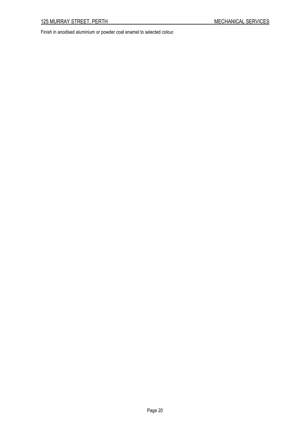Finish in anodised aluminium or powder coat enamel to selected colour.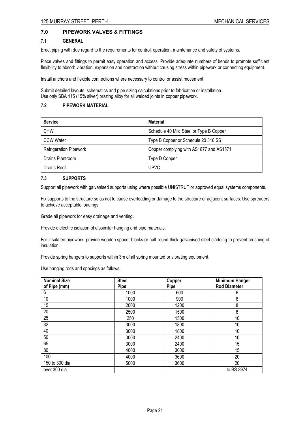# **7.0 PIPEWORK VALVES & FITTINGS**

#### **7.1 GENERAL**

Erect piping with due regard to the requirements for control, operation, maintenance and safety of systems.

Place valves and fittings to permit easy operation and access. Provide adequate numbers of bends to promote sufficient flexibility to absorb vibration, expansion and contraction without causing stress within pipework or connecting equipment.

Install anchors and flexible connections where necessary to control or assist movement.

Submit detailed layouts, schematics and pipe sizing calculations prior to fabrication or installation. Use only SBA 115 (15% silver) brazing alloy for all welded joints in copper pipework.

# **7.2 PIPEWORK MATERIAL**

| <b>Service</b>                | <b>Material</b>                         |  |
|-------------------------------|-----------------------------------------|--|
| <b>CHW</b>                    | Schedule 40 Mild Steel or Type B Copper |  |
| <b>CCW Water</b>              | Type B Copper or Schedule 20 316 SS     |  |
| <b>Refrigeration Pipework</b> | Copper complying with AS1677 and AS1571 |  |
| Drains Plantroom              | Type D Copper                           |  |
| Drains Roof                   | <b>UPVC</b>                             |  |

# **7.3 SUPPORTS**

Support all pipework with galvanised supports using where possible UNISTRUT or approved equal systems components.

Fix supports to the structure so as not to cause overloading or damage to the structure or adjacent surfaces. Use spreaders to achieve acceptable loadings.

Grade all pipework for easy drainage and venting.

Provide dielectric isolation of dissimilar hanging and pipe materials.

For insulated pipework, provide wooden spacer blocks or half round thick galvanised steel cladding to prevent crushing of insulation.

Provide spring hangers to supports within 3m of all spring mounted or vibrating equipment.

Use hanging rods and spacings as follows:

| <b>Nominal Size</b><br>of Pipe (mm) | <b>Steel</b><br>Pipe | Copper<br>Pipe | <b>Minimum Hanger</b><br><b>Rod Diameter</b> |
|-------------------------------------|----------------------|----------------|----------------------------------------------|
| 6                                   | 1000                 | 600            | 6                                            |
| 10                                  | 1000                 | 900            | 6                                            |
| 15                                  | 2000                 | 1200           | 8                                            |
| 20                                  | 2500                 | 1500           | 8                                            |
| 25                                  | 250                  | 1500           | 10                                           |
| 32                                  | 3000                 | 1800           | 10                                           |
| 40                                  | 3000                 | 1800           | 10                                           |
| 50                                  | 3000                 | 2400           | 10                                           |
| 65                                  | 3000                 | 2400           | 15                                           |
| 80                                  | 4000                 | 3000           | 15                                           |
| 100                                 | 4000                 | 3600           | 20                                           |
| 150 to 300 dia                      | 5000                 | 3600           | 20                                           |
| over 300 dia                        |                      |                | to BS 3974                                   |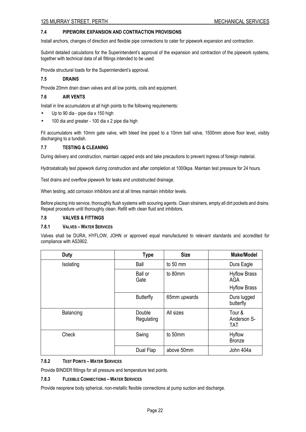#### **7.4 PIPEWORK EXPANSION AND CONTRACTION PROVISIONS**

Install anchors, changes of direction and flexible pipe connections to cater for pipework expansion and contraction.

Submit detailed calculations for the Superintendent's approval of the expansion and contraction of the pipework systems, together with technical data of all fittings intended to be used.

Provide structural loads for the Superintendent's approval.

# **7.5 DRAINS**

Provide 20mm drain down valves and all low points, coils and equipment.

#### **7.6 AIR VENTS**

Install in line accumulators at all high points to the following requirements:

- Up to 90 dia pipe dia x 150 high
- 100 dia and greater 100 dia x 2 pipe dia high

Fit accumulators with 10mm gate valve, with bleed line piped to a 10mm ball valve, 1500mm above floor level, visibly discharging to a tundish.

#### **7.7 TESTING & CLEANING**

During delivery and construction, maintain capped ends and take precautions to prevent ingress of foreign material.

Hydrostatically test pipework during construction and after completion at 1000kpa. Maintain test pressure for 24 hours.

Test drains and overflow pipework for leaks and unobstructed drainage.

When testing, add corrosion inhibitors and at all times maintain inhibitor levels.

Before placing into service, thoroughly flush systems with scouring agents. Clean strainers, empty all dirt pockets and drains. Repeat procedure until thoroughly clean. Refill with clean fluid and inhibitors.

#### **7.8 VALVES & FITTINGS**

#### **7.8.1 VALVES – WATER SERVICES**

Valves shall be DURA, HYFLOW, JOHN or approved equal manufactured to relevant standards and accredited for compliance with AS3902.

| Duty      | <b>Type</b>          | <b>Size</b>  | <b>Make/Model</b>                                 |
|-----------|----------------------|--------------|---------------------------------------------------|
| Isolating | Ball                 | to 50 mm     | Dura Eagle                                        |
|           | Ball or<br>Gate      | to 80mm      | <b>Hyflow Brass</b><br>AGA<br><b>Hyflow Brass</b> |
|           | <b>Butterfly</b>     | 65mm upwards | Dura lugged<br>butterfly                          |
| Balancing | Double<br>Regulating | All sizes    | Tour &<br>Anderson S-<br><b>TAT</b>               |
| Check     | Swing                | to 50mm      | <b>Hyflow</b><br><b>Bronze</b>                    |
|           | Dual Flap            | above 50mm   | John 404a                                         |

#### **7.8.2 TEST POINTS – WATER SERVICES**

Provide BINDER fittings for all pressure and temperature test points.

# **7.8.3 FLEXIBLE CONNECTIONS – WATER SERVICES**

Provide neoprene body spherical, non-metallic flexible connections at pump suction and discharge.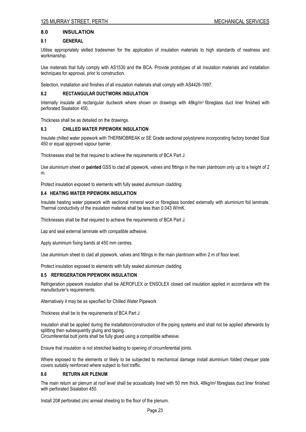#### **8.0 INSULATION**

#### **8.1 GENERAL**

Utilise appropriately skilled tradesmen for the application of insulation materials to high standards of neatness and workmanship.

Use materials that fully comply with AS1530 and the BCA. Provide prototypes of all insulation materials and installation techniques for approval, prior to construction.

Selection, installation and finishes of all insulation materials shall comply with AS4426-1997.

#### **8.2 RECTANGULAR DUCTWORK INSULATION**

Internally insulate all rectangular ductwork where shown on drawings with  $48$ kg/m<sup>3</sup> fibreglass duct liner finished with perforated Sisalation 450.

Thickness shall be as detailed on the drawings.

#### **8.3 CHILLED WATER PIPEWORK INSULATION**

Insulate chilled water pipework with THERMOBREAK or SE Grade sectional polystyrene incorporating factory bonded Sizal 450 or equal approved vapour barrier.

Thicknesses shall be that required to achieve the requirements of BCA Part J.

Use aluminium sheet or **painted** GSS to clad all pipework, valves and fittings in the main plantroom only up to a height of 2 m.

Protect insulation exposed to elements with fully sealed aluminium cladding.

#### **8.4 HEATING WATER PIPEWORK INSULATION**

Insulate heating water pipework with sectional mineral wool or fibreglass bonded externally with aluminium foil laminate. Thermal conductivity of the insulation material shall be less than 0.043 W/mK.

Thicknesses shall be that required to achieve the requirements of BCA Part J.

Lap and seal external laminate with compatible adhesive.

Apply aluminium fixing bands at 450 mm centres.

Use aluminium sheet to clad all pipework, valves and fittings in the main plantroom within 2 m of floor level.

Protect insulation exposed to elements with fully sealed aluminium cladding.

#### **8.5 REFRIGERATION PIPEWORK INSULATION**

Refrigeration pipework insulation shall be AEROFLEX or ENSOLEX closed cell insulation applied in accordance with the manufacturer's requirements.

Alternatively it may be as specified for Chilled Water Pipework

Thickness shall be to the requirements of BCA Part J

Insulation shall be applied during the installation/construction of the piping systems and shall not be applied afterwards by splitting then subsequently gluing and taping. Circumferential butt joints shall be fully glued using a compatible adhesive.

Ensure that insulation is not stretched leading to opening of circumferential joints.

Where exposed to the elements or likely to be subjected to mechanical damage install aluminium folded chequer plate covers suitably reinforced where subject to foot traffic.

#### **8.6 RETURN AIR PLENUM**

The main return air plenum at roof level shall be acoustically lined with 50 mm thick, 48kg/m<sup>3</sup> fibreglass duct liner finished with perforated Sisalation 450.

Install 20# perforated zinc anneal sheeting to the floor of the plenum.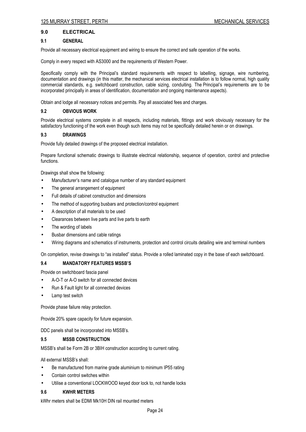# **9.0 ELECTRICAL**

#### **9.1 GENERAL**

Provide all necessary electrical equipment and wiring to ensure the correct and safe operation of the works.

Comply in every respect with AS3000 and the requirements of Western Power.

Specifically comply with the Principal's standard requirements with respect to labelling, signage, wire numbering, documentation and drawings (in this matter, the mechanical services electrical installation is to follow normal, high quality commercial standards, e.g. switchboard construction, cable sizing, conduiting. The Principal's requirements are to be incorporated principally in areas of identification, documentation and ongoing maintenance aspects).

Obtain and lodge all necessary notices and permits. Pay all associated fees and charges.

#### **9.2 OBVIOUS WORK**

Provide electrical systems complete in all respects, including materials, fittings and work obviously necessary for the satisfactory functioning of the work even though such items may not be specifically detailed herein or on drawings.

#### **9.3 DRAWINGS**

Provide fully detailed drawings of the proposed electrical installation.

Prepare functional schematic drawings to illustrate electrical relationship, sequence of operation, control and protective functions.

Drawings shall show the following:

- Manufacturer's name and catalogue number of any standard equipment
- The general arrangement of equipment
- Full details of cabinet construction and dimensions
- The method of supporting busbars and protection/control equipment
- A description of all materials to be used
- Clearances between live parts and live parts to earth
- The wording of labels
- Busbar dimensions and cable ratings
- Wiring diagrams and schematics of instruments, protection and control circuits detailing wire and terminal numbers

On completion, revise drawings to "as installed" status. Provide a rolled laminated copy in the base of each switchboard.

#### **9.4 MANDATORY FEATURES MSSB'S**

Provide on switchboard fascia panel

- A-O-T or A-O switch for all connected devices
- Run & Fault light for all connected devices
- Lamp test switch

Provide phase failure relay protection.

Provide 20% spare capacity for future expansion.

DDC panels shall be incorporated into MSSB's.

#### **9.5 MSSB CONSTRUCTION**

MSSB's shall be Form 2B or 3BIH construction according to current rating.

All external MSSB's shall:

- Be manufactured from marine grade aluminium to minimum IP55 rating
- Contain control switches within
- Utilise a conventional LOCKWOOD keyed door lock to, not handle locks

#### **9.6 KWHR METERS**

kWhr meters shall be EDMI Mk10H DIN rail mounted meters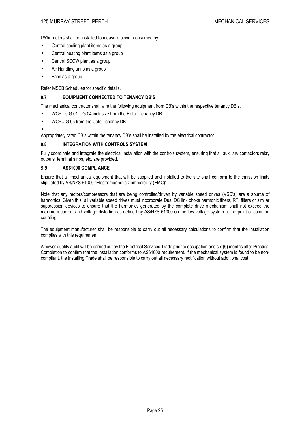kWhr meters shall be installed to measure power consumed by:

- Central cooling plant items as a group
- Central heating plant items as a group
- Central SCCW plant as a group
- Air Handling units as a group
- Fans as a group

Refer MSSB Schedules for specific details.

# **9.7 EQUIPMENT CONNECTED TO TENANCY DB'S**

The mechanical contractor shall wire the following equipment from CB's within the respective tenancy DB's.

- WCPU's G.01 G.04 inclusive from the Retail Tenancy DB
- WCPU G.05 from the Cafe Tenancy DB
- •

Appropriately rated CB's within the tenancy DB's shall be installed by the electrical contractor.

# **9.8 INTEGRATION WITH CONTROLS SYSTEM**

Fully coordinate and integrate the electrical installation with the controls system, ensuring that all auxiliary contactors relay outputs, terminal strips, etc. are provided.

# **9.9 AS61000 COMPLIANCE**

Ensure that all mechanical equipment that will be supplied and installed to the site shall conform to the emission limits stipulated by AS/NZS 61000 "Electromagnetic Compatibility (EMC)".

Note that any motors/compressors that are being controlled/driven by variable speed drives (VSD's) are a source of harmonics. Given this, all variable speed drives must incorporate Dual DC link choke harmonic filters, RFI filters or similar suppression devices to ensure that the harmonics generated by the complete drive mechanism shall not exceed the maximum current and voltage distortion as defined by AS/NZS 61000 on the low voltage system at the point of common coupling.

The equipment manufacturer shall be responsible to carry out all necessary calculations to confirm that the installation complies with this requirement.

A power quality audit will be carried out by the Electrical Services Trade prior to occupation and six (6) months after Practical Completion to confirm that the installation conforms to AS61000 requirement. If the mechanical system is found to be noncompliant, the installing Trade shall be responsible to carry out all necessary rectification without additional cost.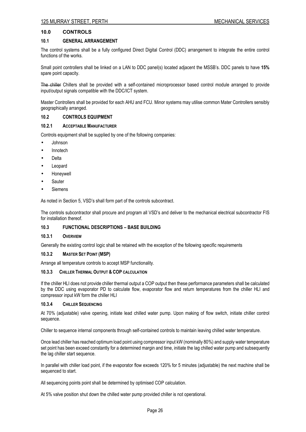# **10.0 CONTROLS**

#### **10.1 GENERAL ARRANGEMENT**

The control systems shall be a fully configured Direct Digital Control (DDC) arrangement to integrate the entire control functions of the works.

Small point controllers shall be linked on a LAN to DDC panel(s) located adjacent the MSSB's. DDC panels to have **15%** spare point capacity.

The chiller Chillers shall be provided with a self-contained microprocessor based control module arranged to provide input/output signals compatible with the DDC/ICT system.

Master Controllers shall be provided for each AHU and FCU. Minor systems may utilise common Mater Controllers sensibly geographically arranged.

#### **10.2 CONTROLS EQUIPMENT**

#### **10.2.1 ACCEPTABLE MANUFACTURER**

Controls equipment shall be supplied by one of the following companies:

- Johnson
- Innotech
- Delta
- **Leopard**
- **Honeywell**
- **Sauter**
- **Siemens**

As noted in Section 5, VSD's shall form part of the controls subcontract.

The controls subcontractor shall procure and program all VSD's and deliver to the mechanical electrical subcontractor FIS for installation thereof.

#### **10.3 FUNCTIONAL DESCRIPTIONS – BASE BUILDING**

#### **10.3.1 OVERVIEW**

Generally the existing control logic shall be retained with the exception of the following specific requirements

#### **10.3.2 MASTER SET POINT (MSP)**

Arrange all temperature controls to accept MSP functionality.

#### **10.3.3 CHILLER THERMAL OUTPUT & COP CALCULATION**

If the chiller HLI does not provide chiller thermal output a COP output then these performance parameters shall be calculated by the DDC using evaporator PD to calculate flow, evaporator flow and return temperatures from the chiller HLI and compressor input kW form the chiller HLI

#### **10.3.4 CHILLER SEQUENCING**

At 70% (adjustable) valve opening, initiate lead chilled water pump. Upon making of flow switch, initiate chiller control sequence.

Chiller to sequence internal components through self-contained controls to maintain leaving chilled water temperature.

Once lead chiller has reached optimum load point using compressor input kW (nominally 80%) and supply water temperature set point has been exceed constantly for a determined margin and time, initiate the lag chilled water pump and subsequently the lag chiller start sequence.

In parallel with chiller load point, if the evaporator flow exceeds 120% for 5 minutes (adjustable) the next machine shall be sequenced to start.

All sequencing points point shall be determined by optimised COP calculation.

At 5% valve position shut down the chilled water pump provided chiller is not operational.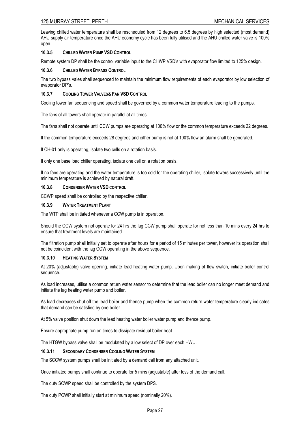Leaving chilled water temperature shall be rescheduled from 12 degrees to 6.5 degrees by high selected (most demand) AHU supply air temperature once the AHU economy cycle has been fully utilised and the AHU chilled water valve is 100% open.

#### **10.3.5 CHILLED WATER PUMP VSD CONTROL**

Remote system DP shall be the control variable input to the CHWP VSD's with evaporator flow limited to 125% design.

#### **10.3.6 CHILLED WATER BYPASS CONTROL**

The two bypass vales shall sequenced to maintain the minimum flow requirements of each evaporator by low selection of evaporator DP's.

#### **10.3.7 COOLING TOWER VALVES& FAN VSD CONTROL**

Cooling tower fan sequencing and speed shall be governed by a common water temperature leading to the pumps.

The fans of all towers shall operate in parallel at all times.

The fans shall not operate until CCW pumps are operating at 100% flow or the common temperature exceeds 22 degrees.

If the common temperature exceeds 28 degrees and either pump is not at 100% flow an alarm shall be generated.

If CH-01 only is operating, isolate two cells on a rotation basis.

If only one base load chiller operating, isolate one cell on a rotation basis.

If no fans are operating and the water temperature is too cold for the operating chiller, isolate towers successively until the minimum temperature is achieved by natural draft.

#### **10.3.8 CONDENSER WATER VSD CONTROL**

CCWP speed shall be controlled by the respective chiller.

#### **10.3.9 WATER TREATMENT PLANT**

The WTP shall be initiated whenever a CCW pump is in operation.

Should the CCW system not operate for 24 hrs the lag CCW pump shall operate for not less than 10 mins every 24 hrs to ensure that treatment levels are maintained.

The filtration pump shall initially set to operate after hours for a period of 15 minutes per tower, however its operation shall not be coincident with the lag CCW operating in the above sequence.

#### **10.3.10 HEATING WATER SYSTEM**

At 20% (adjustable) valve opening, initiate lead heating water pump. Upon making of flow switch, initiate boiler control sequence.

As load increases, utilise a common return water sensor to determine that the lead boiler can no longer meet demand and initiate the lag heating water pump and boiler.

As load decreases shut off the lead boiler and thence pump when the common return water temperature clearly indicates that demand can be satisfied by one boiler.

At 5% valve position shut down the lead heating water boiler water pump and thence pump.

Ensure appropriate pump run on times to dissipate residual boiler heat.

The HTGW bypass valve shall be modulated by a low select of DP over each HWU.

#### **10.3.11 SECONDARY CONDENSER COOLING WATER SYSTEM**

The SCCW system pumps shall be initiated by a demand call from any attached unit.

Once initiated pumps shall continue to operate for 5 mins (adjustable) after loss of the demand call.

The duty SCWP speed shall be controlled by the system DPS.

The duty PCWP shall initially start at minimum speed (nominally 20%).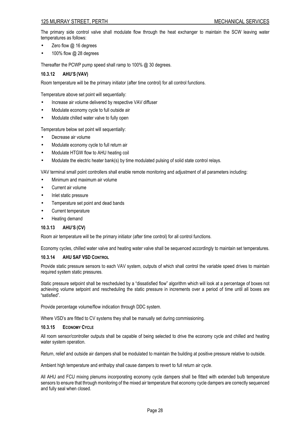The primary side control valve shall modulate flow through the heat exchanger to maintain the SCW leaving water temperatures as follows:

- Zero flow  $@$  16 degrees
- 100% flow @ 28 degrees

Thereafter the PCWP pump speed shall ramp to 100% @ 30 degrees.

# **10.3.12 AHU'S (VAV)**

Room temperature will be the primary initiator (after time control) for all control functions.

Temperature above set point will sequentially:

- Increase air volume delivered by respective VAV diffuser
- Modulate economy cycle to full outside air
- Modulate chilled water valve to fully open

Temperature below set point will sequentially:

- Decrease air volume
- Modulate economy cycle to full return air
- Modulate HTGW flow to AHU heating coil
- Modulate the electric heater bank(s) by time modulated pulsing of solid state control relays.

VAV terminal small point controllers shall enable remote monitoring and adjustment of all parameters including:

- Minimum and maximum air volume
- Current air volume
- Inlet static pressure
- Temperature set point and dead bands
- Current temperature
- Heating demand

# **10.3.13 AHU'S (CV)**

Room air temperature will be the primary initiator (after time control) for all control functions.

Economy cycles, chilled water valve and heating water valve shall be sequenced accordingly to maintain set temperatures.

#### **10.3.14 AHU SAF VSD CONTROL**

Provide static pressure sensors to each VAV system, outputs of which shall control the variable speed drives to maintain required system static pressures.

Static pressure setpoint shall be rescheduled by a "dissatisfied flow" algorithm which will look at a percentage of boxes not achieving volume setpoint and rescheduling the static pressure in increments over a period of time until all boxes are "satisfied".

Provide percentage volume/flow indication through DDC system.

Where VSD's are fitted to CV systems they shall be manually set during commissioning.

#### **10.3.15 ECONOMY CYCLE**

All room sensor/controller outputs shall be capable of being selected to drive the economy cycle and chilled and heating water system operation.

Return, relief and outside air dampers shall be modulated to maintain the building at positive pressure relative to outside.

Ambient high temperature and enthalpy shall cause dampers to revert to full return air cycle.

All AHU and FCU mixing plenums incorporating economy cycle dampers shall be fitted with extended bulb temperature sensors to ensure that through monitoring of the mixed air temperature that economy cycle dampers are correctly sequenced and fully seal when closed.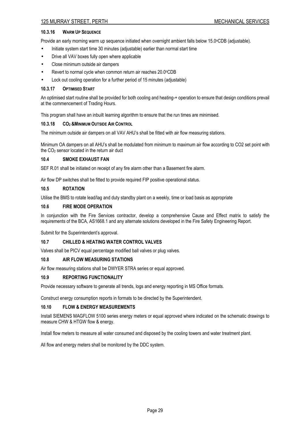# **10.3.16 WARM UP SEQUENCE**

Provide an early morning warm up sequence initiated when overnight ambient falls below 15.0°CDB (adjustable).

- Initiate system start time 30 minutes (adjustable) earlier than normal start time
- Drive all VAV boxes fully open where applicable
- Close minimum outside air dampers
- Revert to normal cycle when common return air reaches 20.0°CDB
- Lock out cooling operation for a further period of 15 minutes (adjustable)

#### **10.3.17 OPTIMISED START**

An optimised start routine shall be provided for both cooling and heating-+ operation to ensure that design conditions prevail at the commencement of Trading Hours.

This program shall have an inbuilt learning algorithm to ensure that the run times are minimised.

#### **10.3.18 CO<sup>2</sup> &MINIMUM OUTSIDE AIR CONTROL**

The minimum outside air dampers on all VAV AHU's shall be fitted with air flow measuring stations.

Minimum OA dampers on all AHU's shall be modulated from minimum to maximum air flow according to CO2 set point with the  $CO<sub>2</sub>$  sensor located in the return air duct

#### **10.4 SMOKE EXHAUST FAN**

SEF R.01 shall be initiated on receipt of any fire alarm other than a Basement fire alarm.

Air flow DP switches shall be fitted to provide required FIP positive operational status.

#### **10.5 ROTATION**

Utilise the BMS to rotate lead/lag and duty standby plant on a weekly, time or load basis as appropriate

# **10.6 FIRE MODE OPERATION**

In conjunction with the Fire Services contractor, develop a comprehensive Cause and Effect matrix to satisfy the requirements of the BCA, AS1668.1 and any alternate solutions developed in the Fire Safety Engineering Report.

Submit for the Superintendent's approval.

# **10.7 CHILLED & HEATING WATER CONTROL VALVES**

Valves shall be PICV equal percentage modified ball valves or plug valves.

#### **10.8 AIR FLOW MEASURING STATIONS**

Air flow measuring stations shall be DWYER STRA series or equal approved.

#### **10.9 REPORTING FUNCTIONALITY**

Provide necessary software to generate all trends, logs and energy reporting in MS Office formats.

Construct energy consumption reports in formats to be directed by the Superintendent.

#### **10.10 FLOW & ENERGY MEASUREMENTS**

Install SIEMENS MAGFLOW 5100 series energy meters or equal approved where indicated on the schematic drawings to measure CHW & HTGW flow & energy.

Install flow meters to measure all water consumed and disposed by the cooling towers and water treatment plant.

All flow and energy meters shall be monitored by the DDC system.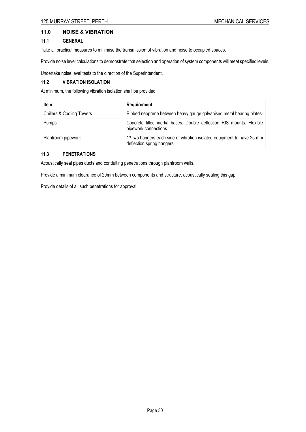# **11.0 NOISE & VIBRATION**

# **11.1 GENERAL**

Take all practical measures to minimise the transmission of vibration and noise to occupied spaces.

Provide noise level calculations to demonstrate that selection and operation of system components will meet specified levels.

Undertake noise level tests to the direction of the Superintendent.

# **11.2 VIBRATION ISOLATION**

At minimum, the following vibration isolation shall be provided.

| Item                                 | Requirement                                                                                                      |
|--------------------------------------|------------------------------------------------------------------------------------------------------------------|
| <b>Chillers &amp; Cooling Towers</b> | Ribbed neoprene between heavy gauge galvanised metal bearing plates                                              |
| Pumps                                | Concrete filled inertia bases. Double deflection RIS mounts. Flexible<br>pipework connections                    |
| Plantroom pipework                   | 1 <sup>st</sup> two hangers each side of vibration isolated equipment to have 25 mm<br>deflection spring hangers |

# **11.3 PENETRATIONS**

Acoustically seal pipes ducts and conduiting penetrations through plantroom walls.

Provide a minimum clearance of 20mm between components and structure, acoustically sealing this gap.

Provide details of all such penetrations for approval.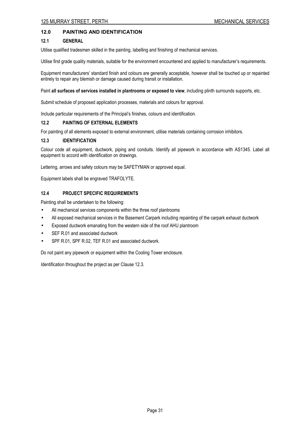# **12.0 PAINTING AND IDENTIFICATION**

# **12.1 GENERAL**

Utilise qualified tradesmen skilled in the painting, labelling and finishing of mechanical services.

Utilise first grade quality materials, suitable for the environment encountered and applied to manufacturer's requirements.

Equipment manufacturers' standard finish and colours are generally acceptable, however shall be touched up or repainted entirely to repair any blemish or damage caused during transit or installation.

Paint **all surfaces of services installed in plantrooms or exposed to view**, including plinth surrounds supports, etc.

Submit schedule of proposed application processes, materials and colours for approval.

Include particular requirements of the Principal's finishes, colours and identification.

#### **12.2 PAINTING OF EXTERNAL ELEMENTS**

For painting of all elements exposed to external environment, utilise materials containing corrosion inhibitors.

# **12.3 IDENTIFICATION**

Colour code all equipment, ductwork, piping and conduits. Identify all pipework in accordance with AS1345. Label all equipment to accord with identification on drawings.

Lettering, arrows and safety colours may be SAFETYMAN or approved equal.

Equipment labels shall be engraved TRAFOLYTE.

# **12.4 PROJECT SPECIFIC REQUIREMENTS**

Painting shall be undertaken to the following:

- All mechanical services components within the three roof plantrooms
- All exposed mechanical services in the Basement Carpark including repainting of the carpark exhaust ductwork
- Exposed ductwork emanating from the western side of the roof AHU plantroom
- SEF R.01 and associated ductwork
- SPF R.01, SPF R.02, TEF R.01 and associated ductwork.

Do not paint any pipework or equipment within the Cooling Tower enclosure.

Identification throughout the project as per Clause 12.3.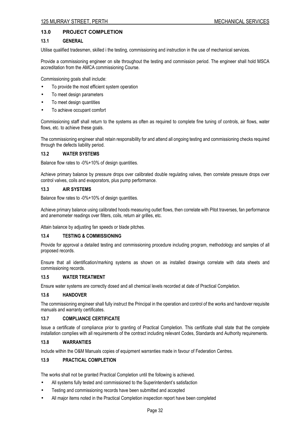# **13.0 PROJECT COMPLETION**

#### **13.1 GENERAL**

Utilise qualified tradesmen, skilled i the testing, commissioning and instruction in the use of mechanical services.

Provide a commissioning engineer on site throughout the testing and commission period. The engineer shall hold MSCA accreditation from the AMCA commissioning Course.

Commissioning goals shall include:

- To provide the most efficient system operation
- To meet design parameters
- To meet design quantities
- To achieve occupant comfort

Commissioning staff shall return to the systems as often as required to complete fine tuning of controls, air flows, water flows, etc. to achieve these goals.

The commissioning engineer shall retain responsibility for and attend all ongoing testing and commissioning checks required through the defects liability period.

# **13.2 WATER SYSTEMS**

Balance flow rates to -0%+10% of design quantities.

Achieve primary balance by pressure drops over calibrated double regulating valves, then correlate pressure drops over control valves, coils and evaporators, plus pump performance.

# **13.3 AIR SYSTEMS**

Balance flow rates to -0%+10% of design quantities.

Achieve primary balance using calibrated hoods measuring outlet flows, then correlate with Pitot traverses, fan performance and anemometer readings over filters, coils, return air grilles, etc.

Attain balance by adjusting fan speeds or blade pitches.

# **13.4 TESTING & COMMISSIONING**

Provide for approval a detailed testing and commissioning procedure including program, methodology and samples of all proposed records.

Ensure that all identification/marking systems as shown on as installed drawings correlate with data sheets and commissioning records.

# **13.5 WATER TREATMENT**

Ensure water systems are correctly dosed and all chemical levels recorded at date of Practical Completion.

#### **13.6 HANDOVER**

The commissioning engineer shall fully instruct the Principal in the operation and control of the works and handover requisite manuals and warranty certificates.

# **13.7 COMPLIANCE CERTIFICATE**

Issue a certificate of compliance prior to granting of Practical Completion. This certificate shall state that the complete installation complies with all requirements of the contract including relevant Codes, Standards and Authority requirements.

# **13.8 WARRANTIES**

Include within the O&M Manuals copies of equipment warranties made in favour of Federation Centres.

# **13.9 PRACTICAL COMPLETION**

The works shall not be granted Practical Completion until the following is achieved.

- All systems fully tested and commissioned to the Superintendent's satisfaction
- Testing and commissioning records have been submitted and accepted
- All major items noted in the Practical Completion inspection report have been completed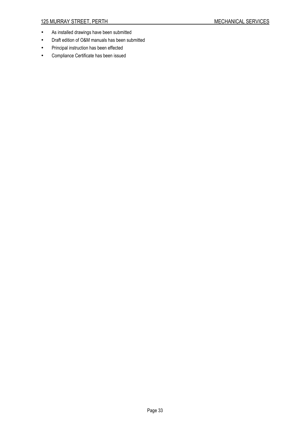- As installed drawings have been submitted
- Draft edition of O&M manuals has been submitted
- Principal instruction has been effected
- Compliance Certificate has been issued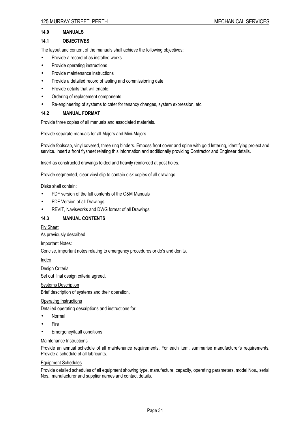# **14.0 MANUALS**

# **14.1 OBJECTIVES**

The layout and content of the manuals shall achieve the following objectives:

- Provide a record of as installed works
- Provide operating instructions
- Provide maintenance instructions
- Provide a detailed record of testing and commissioning date
- Provide details that will enable:
- Ordering of replacement components
- Re-engineering of systems to cater for tenancy changes, system expression, etc.

# **14.2 MANUAL FORMAT**

Provide three copies of all manuals and associated materials.

Provide separate manuals for all Majors and Mini-Majors

Provide foolscap, vinyl covered, three ring binders. Emboss front cover and spine with gold lettering, identifying project and service. Insert a front flysheet relating this information and additionally providing Contractor and Engineer details.

Insert as constructed drawings folded and heavily reinforced at post holes.

Provide segmented, clear vinyl slip to contain disk copies of all drawings.

Disks shall contain:

- PDF version of the full contents of the O&M Manuals
- PDF Version of all Drawings
- REVIT, Navisworks and DWG format of all Drawings

# **14.3 MANUAL CONTENTS**

#### Fly Sheet

As previously described

#### Important Notes:

Concise, important notes relating to emergency procedures or do's and don'ts.

Index

Design Criteria

Set out final design criteria agreed.

#### **Systems Description**

Brief description of systems and their operation.

### Operating Instructions

Detailed operating descriptions and instructions for:

- Normal
- Fire
- Emergency/fault conditions

#### Maintenance Instructions

Provide an annual schedule of all maintenance requirements. For each item, summarise manufacturer's requirements. Provide a schedule of all lubricants.

#### Equipment Schedules

Provide detailed schedules of all equipment showing type, manufacture, capacity, operating parameters, model Nos., serial Nos., manufacturer and supplier names and contact details.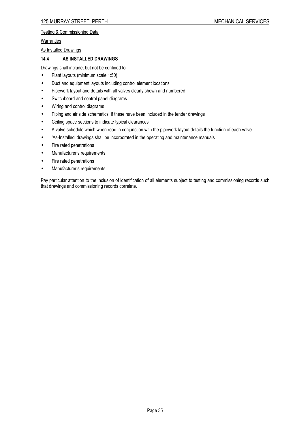# Testing & Commissioning Data

#### **Warranties**

As Installed Drawings

# **14.4 AS INSTALLED DRAWINGS**

Drawings shall include, but not be confined to:

- Plant layouts (minimum scale 1:50)
- Duct and equipment layouts including control element locations
- Pipework layout and details with all valves clearly shown and numbered
- Switchboard and control panel diagrams
- Wiring and control diagrams
- Piping and air side schematics, if these have been included in the tender drawings
- Ceiling space sections to indicate typical clearances
- A valve schedule which when read in conjunction with the pipework layout details the function of each valve
- 'As-Installed' drawings shall be incorporated in the operating and maintenance manuals
- Fire rated penetrations
- Manufacturer's requirements
- Fire rated penetrations
- Manufacturer's requirements.

Pay particular attention to the inclusion of identification of all elements subject to testing and commissioning records such that drawings and commissioning records correlate.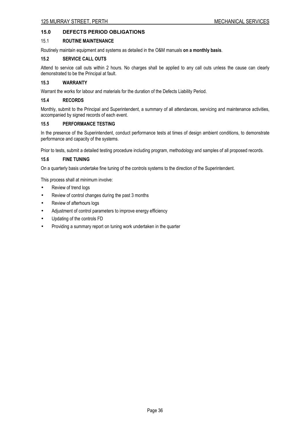# **15.0 DEFECTS PERIOD OBLIGATIONS**

# 15.1 **ROUTINE MAINTENANCE**

Routinely maintain equipment and systems as detailed in the O&M manuals **on a monthly basis**.

# **15.2 SERVICE CALL OUTS**

Attend to service call outs within 2 hours. No charges shall be applied to any call outs unless the cause can clearly demonstrated to be the Principal at fault.

# **15.3 WARRANTY**

Warrant the works for labour and materials for the duration of the Defects Liability Period.

#### **15.4 RECORDS**

Monthly, submit to the Principal and Superintendent, a summary of all attendances, servicing and maintenance activities, accompanied by signed records of each event.

# **15.5 PERFORMANCE TESTING**

In the presence of the Superintendent, conduct performance tests at times of design ambient conditions, to demonstrate performance and capacity of the systems.

Prior to tests, submit a detailed testing procedure including program, methodology and samples of all proposed records.

# **15.6 FINE TUNING**

On a quarterly basis undertake fine tuning of the controls systems to the direction of the Superintendent.

This process shall at minimum involve:

- Review of trend logs
- Review of control changes during the past 3 months
- Review of afterhours logs
- Adjustment of control parameters to improve energy efficiency
- Updating of the controls FD
- Providing a summary report on tuning work undertaken in the quarter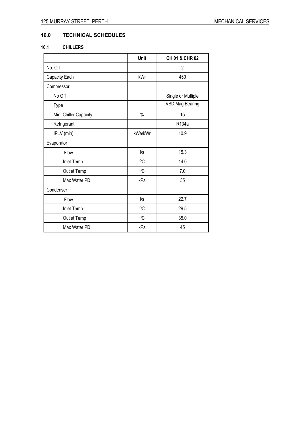# **16.0 TECHNICAL SCHEDULES**

# **16.1 CHILLERS**

|                       | Unit       | CH 01 & CHR 02         |
|-----------------------|------------|------------------------|
| No. Off               |            | $\overline{2}$         |
| Capacity Each         | kWr        | 450                    |
| Compressor            |            |                        |
| No Off                |            | Single or Multiple     |
| Type                  |            | <b>VSD Mag Bearing</b> |
| Min. Chiller Capacity | $\%$       | 15                     |
| Refrigerant           |            | R134a                  |
| IPLV (min)            | kWe/kWr    | 10.9                   |
| Evaporator            |            |                        |
| Flow                  | $\sqrt{s}$ | 15.3                   |
| Inlet Temp            | °C         | 14.0                   |
| Outlet Temp           | $\circ$ C  | 7.0                    |
| Max Water PD          | kPa        | 35                     |
| Condenser             |            |                        |
| Flow                  | $\sqrt{s}$ | 22.7                   |
| Inlet Temp            | $\circ$ C  | 29.5                   |
| Outlet Temp           | $\circ$ C  | 35.0                   |
| Max Water PD          | kPa        | 45                     |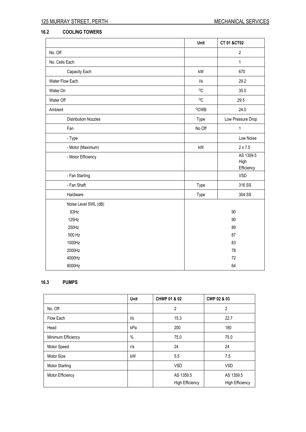# **16.2 COOLING TOWERS**

|                             | Unit                   | CT 01 &CT02                     |
|-----------------------------|------------------------|---------------------------------|
| No. Off                     |                        | $\overline{2}$                  |
| No. Cells Each              |                        | $\mathbf{1}$                    |
| Capacity Each               | kW                     | 670                             |
| Water Flow Each             | $\sqrt{s}$             | 29.2                            |
| Water On                    | $\circ$ C              | 35.0                            |
| Water Off                   | °C                     | 29.5                            |
| Ambient                     | <sup>O</sup> CWB       | 24.0                            |
| <b>Distribution Nozzles</b> | Type                   | Low Pressure Drop               |
| Fan                         | No Off                 | $\mathbf{1}$                    |
| - Type                      |                        | Low Noise                       |
| - Motor (Maximum)           | $\mathsf{k}\mathsf{W}$ | $2 \times 7.5$                  |
| - Motor Efficiency          |                        | AS 1359.5<br>High<br>Efficiency |
| - Fan Starting              |                        | <b>VSD</b>                      |
| - Fan Shaft                 | Type                   | 316 SS                          |
| Hardware                    | Type                   | 304 SS                          |
| Noise Level SWL (dB)        |                        |                                 |
| 63Hz                        |                        | 90                              |
| 125Hz                       |                        | 90                              |
| 250Hz                       |                        | 89                              |
| 500 Hz                      |                        | 87                              |
| 1000Hz                      |                        | 83                              |
| 2000Hz                      |                        | 78                              |
| 4000Hz                      |                        | 72                              |
| 8000Hz                      |                        | 64                              |

# **16.3 PUMPS**

|                       | <b>Unit</b>     | CHWP 01 & 02           | CWP 02 & 03            |
|-----------------------|-----------------|------------------------|------------------------|
| No. Off               |                 | 2                      | $\overline{2}$         |
| Flow Each             | $\mathsf{II}$ s | 15.3                   | 22.7                   |
| Head                  | kPa             | 200                    | 180                    |
| Minimum Efficiency    | $\%$            | 75.0                   | 75.0                   |
| Motor Speed           | r/s             | 24                     | 24                     |
| Motor Size            | kW              | 5.5                    | 7.5                    |
| <b>Motor Starting</b> |                 | <b>VSD</b>             | <b>VSD</b>             |
| Motor Efficiency      |                 | AS 1359.5              | AS 1359.5              |
|                       |                 | <b>High Efficiency</b> | <b>High Efficiency</b> |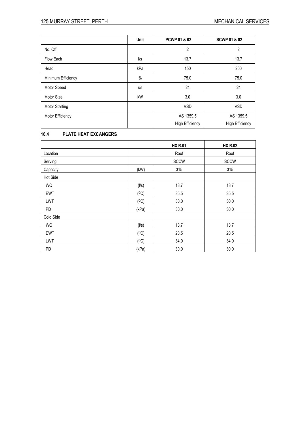|                       | <b>Unit</b>   | PCWP 01 & 02           | <b>SCWP 01 &amp; 02</b> |
|-----------------------|---------------|------------------------|-------------------------|
| No. Off               |               | $\overline{2}$         | $\overline{2}$          |
| Flow Each             | $\frac{1}{s}$ | 13.7                   | 13.7                    |
| Head                  | kPa           | 150                    | 200                     |
| Minimum Efficiency    | $\%$          | 75.0                   | 75.0                    |
| Motor Speed           | r/s           | 24                     | 24                      |
| Motor Size            | kW            | 3.0                    | 3.0                     |
| <b>Motor Starting</b> |               | <b>VSD</b>             | <b>VSD</b>              |
| Motor Efficiency      |               | AS 1359.5              | AS 1359.5               |
|                       |               | <b>High Efficiency</b> | <b>High Efficiency</b>  |

# **16.4 PLATE HEAT EXCANGERS**

|            |       | <b>HX R.01</b> | <b>HX R.02</b> |
|------------|-------|----------------|----------------|
| Location   |       | Roof           | Roof           |
| Serving    |       | <b>SCCW</b>    | <b>SCCW</b>    |
| Capacity   | (kW)  | 315            | 315            |
| Hot Side   |       |                |                |
| WQ         | (1/s) | 13.7           | 13.7           |
| <b>EWT</b> | (°C)  | 35.5           | 35.5           |
| LWT        | (°C)  | 30.0           | 30.0           |
| <b>PD</b>  | (kPa) | 30.0           | 30.0           |
| Cold Side  |       |                |                |
| WQ         | (1/s) | 13.7           | 13.7           |
| <b>EWT</b> | (°C)  | 28.5           | 28.5           |
| LWT        | (°C)  | 34.0           | 34.0           |
| <b>PD</b>  | (kPa) | 30.0           | 30.0           |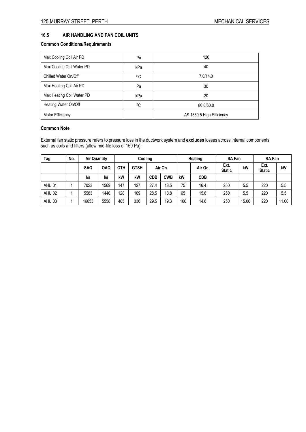# **16.5 AIR HANDLING AND FAN COIL UNITS**

# **Common Conditions/Requirements**

| Max Cooling Coil Air PD   | Pa  | 120                       |
|---------------------------|-----|---------------------------|
| Max Cooling Coil Water PD | kPa | 40                        |
| Chilled Water On/Off      | °C  | 7.0/14.0                  |
| Max Heating Coil Air PD   | Pa  | 30                        |
| Max Heating Coil Water PD | kPa | 20                        |
| Heating Water On/Off      | °C  | 80.0/60.0                 |
| Motor Efficiency          |     | AS 1359.5 High Efficiency |

#### **Common Note**

External fan static pressure refers to pressure loss in the ductwork system and **excludes** losses across internal components such as coils and filters (allow mid-life loss of 150 Pa).

| Tag               | No. | <b>Air Quantity</b> |                 | Cooling    |             | Heating    |            | <b>SA Fan</b> |            | <b>RA Fan</b>         |       |                       |       |
|-------------------|-----|---------------------|-----------------|------------|-------------|------------|------------|---------------|------------|-----------------------|-------|-----------------------|-------|
|                   |     | <b>SAQ</b>          | <b>OAQ</b>      | <b>GTH</b> | <b>GTSH</b> | Air On     |            |               | Air On     | Ext.<br><b>Static</b> | kW    | Ext.<br><b>Static</b> | kW    |
|                   |     | l/s                 | $\mathsf{II}$ s | kW         | kW          | <b>CDB</b> | <b>CWB</b> | kW            | <b>CDB</b> |                       |       |                       |       |
| AHU 01            |     | 7023                | 1569            | 147        | 127         | 27.4       | 18.5       | 75            | 16.4       | 250                   | 5.5   | 220                   | 5.5   |
| AHU <sub>02</sub> |     | 5583                | 1440            | 128        | 109         | 28.5       | 18.8       | 65            | 15.8       | 250                   | 5.5   | 220                   | 5.5   |
| AHU <sub>03</sub> |     | 16653               | 5558            | 405        | 336         | 29.5       | 19.3       | 160           | 14.6       | 250                   | 15.00 | 220                   | 11.00 |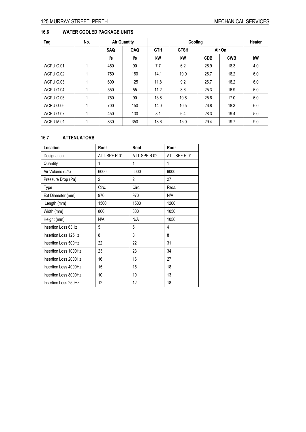# **16.6 WATER COOLED PACKAGE UNITS**

| Tag       | No. |     | <b>Air Quantity</b> |            | Cooling     |            |            |     |
|-----------|-----|-----|---------------------|------------|-------------|------------|------------|-----|
|           |     | SAQ | <b>OAQ</b>          | <b>GTH</b> | <b>GTSH</b> |            | Air On     |     |
|           |     | l/s | l/s                 | kW         | kW          | <b>CDB</b> | <b>CWB</b> | kW  |
| WCPU G.01 |     | 450 | 90                  | 7.7        | 6.2         | 26.9       | 18.3       | 4.0 |
| WCPU G.02 |     | 750 | 160                 | 14.1       | 10.9        | 26.7       | 18.2       | 6.0 |
| WCPU G.03 |     | 600 | 125                 | 11.8       | 9.2         | 26.7       | 18.2       | 6.0 |
| WCPU G.04 |     | 550 | 55                  | 11.2       | 8.6         | 25.3       | 16.9       | 6.0 |
| WCPU G.05 |     | 750 | 90                  | 13.6       | 10.6        | 25.6       | 17.0       | 6.0 |
| WCPU G.06 |     | 700 | 150                 | 14.0       | 10.5        | 26.8       | 18.3       | 6.0 |
| WCPU G.07 |     | 450 | 130                 | 8.1        | 6.4         | 28.3       | 19.4       | 5.0 |
| WCPU M.01 |     | 830 | 350                 | 18.6       | 15.0        | 29.4       | 19.7       | 9.0 |

# **16.7 ATTENUATORS**

| Location              | Roof           | Roof         | Roof         |
|-----------------------|----------------|--------------|--------------|
| Designation           | ATT-SPF R.01   | ATT-SPF R.02 | ATT-SEF R.01 |
| Quantity              | 1              | 1            | 1            |
| Air Volume (L/s)      | 6000           | 6000         | 6000         |
| Pressure Drop (Pa)    | $\overline{2}$ | 2            | 27           |
| Type                  | Circ.          | Circ.        | Rect.        |
| Ext Diameter (mm)     | 970            | 970          | N/A          |
| Length (mm)           | 1500           | 1500         | 1200         |
| Width (mm)            | 800            | 800          | 1050         |
| Height (mm)           | N/A            | N/A          | 1050         |
| Insertion Loss 63Hz   | 5              | 5            | 4            |
| Insertion Loss 125Hz  | 8              | 8            | 8            |
| Insertion Loss 500Hz  | 22             | 22           | 31           |
| Insertion Loss 1000Hz | 23             | 23           | 34           |
| Insertion Loss 2000Hz | 16             | 16           | 27           |
| Insertion Loss 4000Hz | 15             | 15           | 18           |
| Insertion Loss 8000Hz | 10             | 10           | 13           |
| Insertion Loss 250Hz  | 12             | 12           | 18           |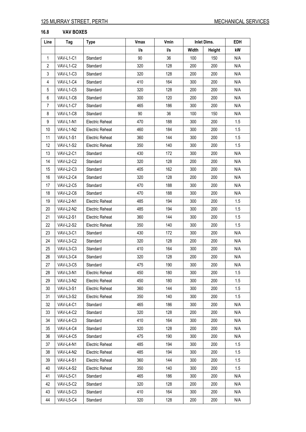# **16.8 VAV BOXES**

| Line           | Tag              | Type                   | <b>Vmax</b> | Vmin | Inlet Dims. |        | EDH |
|----------------|------------------|------------------------|-------------|------|-------------|--------|-----|
|                |                  |                        | l/s         | l/s  | Width       | Height | kW  |
| $\mathbf{1}$   | VAV-L1-C1        | Standard               | 90          | 36   | 100         | 150    | N/A |
| $\overline{2}$ | VAV-L1-C2        | Standard               | 320         | 128  | 200         | 200    | N/A |
| 3              | VAV-L1-C3        | Standard               | 320         | 128  | 200         | 200    | N/A |
| 4              | VAV-L1-C4        | Standard               | 410         | 164  | 300         | 200    | N/A |
| 5              | VAV-L1-C5        | Standard               | 320         | 128  | 200         | 200    | N/A |
| 6              | VAV-L1-C6        | Standard               | 300         | 120  | 200         | 200    | N/A |
| 7              | VAV-L1-C7        | Standard               | 465         | 186  | 300         | 200    | N/A |
| 8              | VAV-L1-C8        | Standard               | 90          | 36   | 100         | 150    | N/A |
| 9              | VAV-L1-N1        | Electric Reheat        | 470         | 188  | 300         | 200    | 1.5 |
| 10             | VAV-L1-N2        | Electric Reheat        | 460         | 184  | 300         | 200    | 1.5 |
| 11             | VAV-L1-S1        | Electric Reheat        | 360         | 144  | 300         | 200    | 1.5 |
| 12             | VAV-L1-S2        | <b>Electric Reheat</b> | 350         | 140  | 300         | 200    | 1.5 |
| 13             | VAV-L2-C1        | Standard               | 430         | 172  | 300         | 200    | N/A |
| 14             | VAV-L2-C2        | Standard               | 320         | 128  | 200         | 200    | N/A |
| 15             | VAV-L2-C3        | Standard               | 405         | 162  | 300         | 200    | N/A |
| 16             | VAV-L2-C4        | Standard               | 320         | 128  | 200         | 200    | N/A |
| 17             | VAV-L2-C5        | Standard               | 470         | 188  | 300         | 200    | N/A |
| 18             | VAV-L2-C6        | Standard               | 470         | 188  | 300         | 200    | N/A |
| 19             | VAV-L2-N1        | <b>Electric Reheat</b> | 485         | 194  | 300         | 200    | 1.5 |
| 20             | VAV-L2-N2        | Electric Reheat        | 485         | 194  | 300         | 200    | 1.5 |
| 21             | VAV-L2-S1        | <b>Electric Reheat</b> | 360         | 144  | 300         | 200    | 1.5 |
| 22             | VAV-L2-S2        | <b>Electric Reheat</b> | 350         | 140  | 300         | 200    | 1.5 |
| 23             | VAV-L3-C1        | Standard               | 430         | 172  | 300         | 200    | N/A |
| 24             | VAV-L3-C2        | Standard               | 320         | 128  | 200         | 200    | N/A |
| 25             | VAV-L3-C3        | Standard               | 410         | 164  | 300         | 200    | N/A |
| 26             | VAV-L3-C4        | Standard               | 320         | 128  | 200         | 200    | N/A |
| 27             | VAV-L3-C5        | Standard               | 475         | 190  | 300         | 200    | N/A |
| 28             | VAV-L3-N1        | Electric Reheat        | 450         | 180  | 300         | 200    | 1.5 |
| 29             | VAV-L3-N2        | Electric Reheat        | 450         | 180  | 300         | 200    | 1.5 |
| 30             | VAV-L3-S1        | Electric Reheat        | 360         | 144  | 300         | 200    | 1.5 |
| 31             | VAV-L3-S2        | Electric Reheat        | 350         | 140  | 300         | 200    | 1.5 |
| 32             | VAV-L4-C1        | Standard               | 465         | 186  | 300         | 200    | N/A |
| 33             | VAV-L4-C2        | Standard               | 320         | 128  | 200         | 200    | N/A |
| 34             | VAV-L4-C3        | Standard               | 410         | 164  | 300         | 200    | N/A |
| 35             | VAV-L4-C4        | Standard               | 320         | 128  | 200         | 200    | N/A |
| 36             | VAV-L4-C5        | Standard               | 475         | 190  | 300         | 200    | N/A |
| 37             | VAV-L4-N1        | Electric Reheat        | 485         | 194  | 300         | 200    | 1.5 |
| 38             | VAV-L4-N2        | Electric Reheat        | 485         | 194  | 300         | 200    | 1.5 |
| 39             | <b>VAV-L4-S1</b> | <b>Electric Reheat</b> | 360         | 144  | 300         | 200    | 1.5 |
| 40             | VAV-L4-S2        | Electric Reheat        | 350         | 140  | 300         | 200    | 1.5 |
| 41             | VAV-L5-C1        | Standard               | 465         | 186  | 300         | 200    | N/A |
| 42             | VAV-L5-C2        | Standard               | 320         | 128  | 200         | 200    | N/A |
| 43             | VAV-L5-C3        | Standard               | 410         | 164  | 300         | 200    | N/A |
| 44             | VAV-L5-C4        | Standard               | 320         | 128  | 200         | 200    | N/A |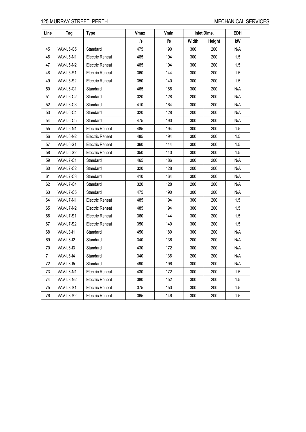| Line | Tag              | <b>Type</b>            | <b>Vmax</b> | Vmin | <b>Inlet Dims.</b> |               | <b>EDH</b> |
|------|------------------|------------------------|-------------|------|--------------------|---------------|------------|
|      |                  |                        | l/s         | l/s  | Width              | <b>Height</b> | kW         |
| 45   | VAV-L5-C5        | Standard               | 475         | 190  | 300                | 200           | N/A        |
| 46   | VAV-L5-N1        | Electric Reheat        | 485         | 194  | 300                | 200           | 1.5        |
| 47   | VAV-L5-N2        | <b>Electric Reheat</b> | 485         | 194  | 300                | 200           | 1.5        |
| 48   | VAV-L5-S1        | Electric Reheat        | 360         | 144  | 300                | 200           | 1.5        |
| 49   | VAV-L5-S2        | <b>Electric Reheat</b> | 350         | 140  | 300                | 200           | 1.5        |
| 50   | VAV-L6-C1        | Standard               | 465         | 186  | 300                | 200           | N/A        |
| 51   | VAV-L6-C2        | Standard               | 320         | 128  | 200                | 200           | N/A        |
| 52   | VAV-L6-C3        | Standard               | 410         | 164  | 300                | 200           | N/A        |
| 53   | VAV-L6-C4        | Standard               | 320         | 128  | 200                | 200           | N/A        |
| 54   | VAV-L6-C5        | Standard               | 475         | 190  | 300                | 200           | N/A        |
| 55   | VAV-L6-N1        | Electric Reheat        | 485         | 194  | 300                | 200           | 1.5        |
| 56   | VAV-L6-N2        | <b>Electric Reheat</b> | 485         | 194  | 300                | 200           | 1.5        |
| 57   | VAV-L6-S1        | Electric Reheat        | 360         | 144  | 300                | 200           | 1.5        |
| 58   | VAV-L6-S2        | Electric Reheat        | 350         | 140  | 300                | 200           | 1.5        |
| 59   | VAV-L7-C1        | Standard               | 465         | 186  | 300                | 200           | N/A        |
| 60   | VAV-L7-C2        | Standard               | 320         | 128  | 200                | 200           | N/A        |
| 61   | VAV-L7-C3        | Standard               | 410         | 164  | 300                | 200           | N/A        |
| 62   | VAV-L7-C4        | Standard               | 320         | 128  | 200                | 200           | N/A        |
| 63   | VAV-L7-C5        | Standard               | 475         | 190  | 300                | 200           | N/A        |
| 64   | VAV-L7-N1        | Electric Reheat        | 485         | 194  | 300                | 200           | 1.5        |
| 65   | VAV-L7-N2        | Electric Reheat        | 485         | 194  | 300                | 200           | 1.5        |
| 66   | VAV-L7-S1        | Electric Reheat        | 360         | 144  | 300                | 200           | 1.5        |
| 67   | VAV-L7-S2        | Electric Reheat        | 350         | 140  | 300                | 200           | 1.5        |
| 68   | VAV-L8-I1        | Standard               | 450         | 180  | 300                | 200           | N/A        |
| 69   | VAV-L8-I2        | Standard               | 340         | 136  | 200                | 200           | N/A        |
| 70   | VAV-L8-13        | Standard               | 430         | 172  | 300                | 200           | N/A        |
| 71   | VAV-L8-I4        | Standard               | 340         | 136  | 200                | 200           | N/A        |
| 72   | VAV-L8-15        | Standard               | 490         | 196  | 300                | 200           | N/A        |
| 73   | VAV-L8-N1        | <b>Electric Reheat</b> | 430         | 172  | 300                | 200           | 1.5        |
| 74   | VAV-L8-N2        | Electric Reheat        | 380         | 152  | 300                | 200           | 1.5        |
| 75   | <b>VAV-L8-S1</b> | Electric Reheat        | 375         | 150  | 300                | 200           | 1.5        |
| 76   | VAV-L8-S2        | Electric Reheat        | 365         | 146  | 300                | 200           | 1.5        |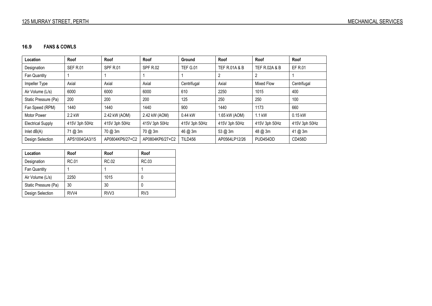# **16.9 FANS & COWLS**

| Location                 | Roof            | Roof            | Roof            | Ground          | Roof                     | Roof                     | Roof          |
|--------------------------|-----------------|-----------------|-----------------|-----------------|--------------------------|--------------------------|---------------|
| Designation              | <b>SEF R.01</b> | <b>SPF R.01</b> | <b>SPF R.02</b> | <b>TEF G.01</b> | <b>TEF R.01A &amp; B</b> | <b>TEF R.02A &amp; B</b> | EF R.01       |
| Fan Quantity             |                 |                 |                 |                 | 2                        |                          |               |
| Impeller Type            | Axial           | Axial           | Axial           | Centrifugal     | Axial                    | Mixed Flow               | Centrifugal   |
| Air Volume (L/s)         | 6000            | 6000            | 6000            | 610             | 2250                     | 1015                     | 400           |
| Static Pressure (Pa)     | 200             | 200             | 200             | 125             | 250                      | 250                      | 100           |
| Fan Speed (RPM)          | 1440            | 1440            | 1440            | 900             | 1440                     | 1173                     | 660           |
| Motor Power              | 2.2 kW          | 2.42 kW (AOM)   | 2.42 kW (AOM)   | 0.44 kW         | 1.65 kW (AOM)            | 1.1 kW                   | 0.15 kW       |
| <b>Electrical Supply</b> | 415V 3ph 50Hz   | 415V 3ph 50Hz   | 415V 3ph 50Hz   | 415V 3ph 50Hz   | 415V 3ph 50Hz            | 415V 3ph 50Hz            | 415V 3ph 50Hz |
| Inlet $dB(A)$            | 71 @ 3m         | 70 @ 3m         | 70 @ 3m         | 46 @ 3m         | 53 @ 3m                  | 48 @ 3m                  | 41 @ 3m       |
| Design Selection         | APS1004GA3/15   | AP0804KP6/27+C2 | AP0804KP6/27+C2 | <b>TILD456</b>  | AP0564LP12/26            | PUD454DD                 | CD458D        |

| Location             | Roof  | Roof             | Roof            |
|----------------------|-------|------------------|-----------------|
| Designation          | RC.01 | RC.02            | RC.03           |
| Fan Quantity         |       |                  |                 |
| Air Volume (L/s)     | 2250  | 1015             | 0               |
| Static Pressure (Pa) | 30    | 30               | 0               |
| Design Selection     | RVV4  | RVV <sub>3</sub> | RV <sub>3</sub> |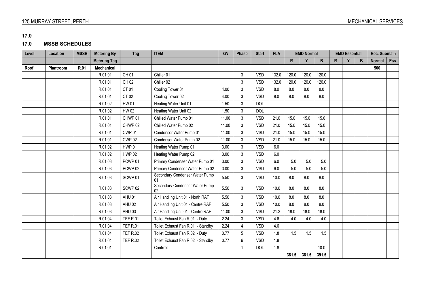**17.0** 

# **17.0 MSSB SCHEDULES**

| Level | Location         | <b>MSSB</b> | <b>Metering By</b>  | Tag                | <b>ITEM</b>                          | kW    | Phase | <b>Start</b> | <b>FLA</b> | <b>EMD Normal</b> |       | <b>EMD Essential</b> |              |  | Rec. Submain |               |            |
|-------|------------------|-------------|---------------------|--------------------|--------------------------------------|-------|-------|--------------|------------|-------------------|-------|----------------------|--------------|--|--------------|---------------|------------|
|       |                  |             | <b>Metering Tag</b> |                    |                                      |       |       |              |            | R                 | Y     | B                    | $\mathsf{R}$ |  | B            | <b>Normal</b> | <b>Ess</b> |
| Roof  | <b>Plantroom</b> | R.01        | <b>Mechanical</b>   |                    |                                      |       |       |              |            |                   |       |                      |              |  |              | 500           |            |
|       |                  |             | R.01.01             | CH 01              | Chiller 01                           |       | 3     | <b>VSD</b>   | 132.0      | 120.0             | 120.0 | 120.0                |              |  |              |               |            |
|       |                  |             | R.01.01             | CH 02              | Chiller 02                           |       | 3     | <b>VSD</b>   | 132.0      | 120.0             | 120.0 | 120.0                |              |  |              |               |            |
|       |                  |             | R.01.01             | CT 01              | Cooling Tower 01                     | 4.00  | 3     | <b>VSD</b>   | 8.0        | 8.0               | 8.0   | 8.0                  |              |  |              |               |            |
|       |                  |             | R.01.01             | CT 02              | Cooling Tower 02                     | 4.00  | 3     | <b>VSD</b>   | 8.0        | 8.0               | 8.0   | 8.0                  |              |  |              |               |            |
|       |                  |             | R.01.02             | <b>HW 01</b>       | Heating Water Unit 01                | 1.50  | 3     | <b>DOL</b>   |            |                   |       |                      |              |  |              |               |            |
|       |                  |             | R.01.02             | <b>HW 02</b>       | Heating Water Unit 02                | 1.50  | 3     | <b>DOL</b>   |            |                   |       |                      |              |  |              |               |            |
|       |                  |             | R.01.01             | CHWP 01            | Chilled Water Pump 01                | 11.00 | 3     | <b>VSD</b>   | 21.0       | 15.0              | 15.0  | 15.0                 |              |  |              |               |            |
|       |                  |             | R.01.01             | CHWP 02            | Chilled Water Pump 02                | 11.00 | 3     | <b>VSD</b>   | 21.0       | 15.0              | 15.0  | 15.0                 |              |  |              |               |            |
|       |                  |             | R.01.01             | <b>CWP 01</b>      | Condenser Water Pump 01              | 11.00 | 3     | <b>VSD</b>   | 21.0       | 15.0              | 15.0  | 15.0                 |              |  |              |               |            |
|       |                  |             | R.01.01             | <b>CWP 02</b>      | Condenser Water Pump 02              | 11.00 | 3     | <b>VSD</b>   | 21.0       | 15.0              | 15.0  | 15.0                 |              |  |              |               |            |
|       |                  |             | R.01.02             | <b>HWP 01</b>      | Heating Water Pump 01                | 3.00  | 3     | <b>VSD</b>   | 6.0        |                   |       |                      |              |  |              |               |            |
|       |                  |             | R.01.02             | <b>HWP 02</b>      | Heating Water Pump 02                | 3.00  | 3     | <b>VSD</b>   | 6.0        |                   |       |                      |              |  |              |               |            |
|       |                  |             | R.01.03             | PCWP <sub>01</sub> | Primary Condenser Water Pump 01      | 3.00  | 3     | <b>VSD</b>   | 6.0        | 5.0               | 5.0   | 5.0                  |              |  |              |               |            |
|       |                  |             | R.01.03             | PCWP <sub>02</sub> | Primary Condenser Water Pump 02      | 3.00  | 3     | <b>VSD</b>   | 6.0        | 5.0               | 5.0   | 5.0                  |              |  |              |               |            |
|       |                  |             | R.01.03             | SCWP <sub>01</sub> | Secondary Condenser Water Pump<br>01 | 5.50  | 3     | <b>VSD</b>   | 10.0       | 8.0               | 8.0   | 8.0                  |              |  |              |               |            |
|       |                  |             | R.01.03             | SCWP <sub>02</sub> | Secondary Condenser Water Pump<br>02 | 5.50  | 3     | <b>VSD</b>   | 10.0       | 8.0               | 8.0   | 8.0                  |              |  |              |               |            |
|       |                  |             | R.01.03             | AHU 01             | Air Handling Unit 01 - North RAF     | 5.50  | 3     | <b>VSD</b>   | 10.0       | 8.0               | 8.0   | 8.0                  |              |  |              |               |            |
|       |                  |             | R.01.03             | AHU 02             | Air Handling Unit 01 - Centre RAF    | 5.50  | 3     | <b>VSD</b>   | 10.0       | 8.0               | 8.0   | 8.0                  |              |  |              |               |            |
|       |                  |             | R.01.03             | AHU03              | Air Handling Unit 01 - Centre RAF    | 11.00 | 3     | <b>VSD</b>   | 21.2       | 18.0              | 18.0  | 18.0                 |              |  |              |               |            |
|       |                  |             | R.01.04             | <b>TEF R.01</b>    | Toilet Exhaust Fan R.01 - Duty       | 2.24  | 3     | <b>VSD</b>   | 4.6        | 4.0               | 4.0   | 4.0                  |              |  |              |               |            |
|       |                  |             | R.01.04             | <b>TEF R.01</b>    | Toilet Exhaust Fan R.01 - Standby    | 2.24  | 4     | <b>VSD</b>   | 4.6        |                   |       |                      |              |  |              |               |            |
|       |                  |             | R.01.04             | <b>TEF R.02</b>    | Toilet Exhaust Fan R.02 - Duty       | 0.77  | 5     | <b>VSD</b>   | 1.8        | 1.5               | 1.5   | 1.5                  |              |  |              |               |            |
|       |                  |             | R.01.04             | <b>TEF R.02</b>    | Toilet Exhaust Fan R.02 - Standby    | 0.77  | 6     | <b>VSD</b>   | 1.8        |                   |       |                      |              |  |              |               |            |
|       |                  |             | R.01.01             |                    | Controls                             |       |       | <b>DOL</b>   | 1.8        |                   |       | 10.0                 |              |  |              |               |            |
|       |                  |             |                     |                    |                                      |       |       |              |            | 381.5             | 381.5 | 391.5                |              |  |              |               |            |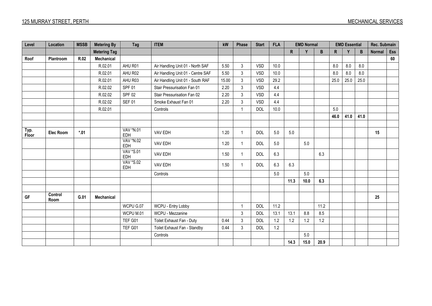| Level         | Location         | <b>MSSB</b> | <b>Metering By</b>  | Tag              | <b>ITEM</b>                       | kW    | Phase        | <b>Start</b> | <b>FLA</b> | <b>EMD Normal</b> |       | <b>EMD Essential</b> |              |      | Rec. Submain |               |     |
|---------------|------------------|-------------|---------------------|------------------|-----------------------------------|-------|--------------|--------------|------------|-------------------|-------|----------------------|--------------|------|--------------|---------------|-----|
|               |                  |             | <b>Metering Tag</b> |                  |                                   |       |              |              |            | $\mathsf{R}$      | Y     | B                    | $\mathsf{R}$ | v    | B            | <b>Normal</b> | Ess |
| Roof          | Plantroom        | R.02        | Mechanical          |                  |                                   |       |              |              |            |                   |       |                      |              |      |              |               | 60  |
|               |                  |             | R.02.01             | AHU R01          | Air Handling Unit 01 - North SAF  | 5.50  | 3            | <b>VSD</b>   | 10.0       |                   |       |                      | 8.0          | 8.0  | 8.0          |               |     |
|               |                  |             | R.02.01             | AHU R02          | Air Handling Unit 01 - Centre SAF | 5.50  | 3            | <b>VSD</b>   | 10.0       |                   |       |                      | 8.0          | 8.0  | 8.0          |               |     |
|               |                  |             | R.02.01             | AHU R03          | Air Handling Unit 01 - South RAF  | 15.00 | 3            | <b>VSD</b>   | 29.2       |                   |       |                      | 25.0         | 25.0 | 25.0         |               |     |
|               |                  |             | R.02.02             | <b>SPF 01</b>    | Stair Pressurisation Fan 01       | 2.20  | 3            | <b>VSD</b>   | 4.4        |                   |       |                      |              |      |              |               |     |
|               |                  |             | R.02.02             | <b>SPF 02</b>    | Stair Pressurisation Fan 02       | 2.20  | 3            | <b>VSD</b>   | 4.4        |                   |       |                      |              |      |              |               |     |
|               |                  |             | R.02.02             | <b>SEF 01</b>    | Smoke Exhaust Fan 01              | 2.20  | 3            | <b>VSD</b>   | 4.4        |                   |       |                      |              |      |              |               |     |
|               |                  |             | R.02.01             |                  | Controls                          |       | $\mathbf{1}$ | <b>DOL</b>   | 10.0       |                   |       |                      | 5.0          |      |              |               |     |
|               |                  |             |                     |                  |                                   |       |              |              |            |                   |       |                      | 46.0         | 41.0 | 41.0         |               |     |
|               |                  |             |                     |                  |                                   |       |              |              |            |                   |       |                      |              |      |              |               |     |
| Typ.<br>Floor | <b>Elec Room</b> | $*01$       |                     | VAV *N.01<br>EDH | VAV EDH                           | 1.20  | $\mathbf{1}$ | <b>DOL</b>   | 5.0        | $5.0$             |       |                      |              |      |              | 15            |     |
|               |                  |             |                     | VAV *N.02<br>EDH | VAV EDH                           | 1.20  | $\mathbf{1}$ | <b>DOL</b>   | 5.0        |                   | 5.0   |                      |              |      |              |               |     |
|               |                  |             |                     | VAV *S.01<br>EDH | VAV EDH                           | 1.50  | $\mathbf{1}$ | <b>DOL</b>   | 6.3        |                   |       | 6.3                  |              |      |              |               |     |
|               |                  |             |                     | VAV *S.02<br>EDH | VAV EDH                           | 1.50  | $\mathbf{1}$ | <b>DOL</b>   | 6.3        | 6.3               |       |                      |              |      |              |               |     |
|               |                  |             |                     |                  | Controls                          |       |              |              | 5.0        |                   | 5.0   |                      |              |      |              |               |     |
|               |                  |             |                     |                  |                                   |       |              |              |            | 11.3              | 10.0  | 6.3                  |              |      |              |               |     |
|               |                  |             |                     |                  |                                   |       |              |              |            |                   |       |                      |              |      |              |               |     |
| GF            | Control<br>Room  | G.01        | Mechanical          |                  |                                   |       |              |              |            |                   |       |                      |              |      |              | 25            |     |
|               |                  |             |                     | WCPU G.07        | WCPU - Entry Lobby                |       | 1            | <b>DOL</b>   | $11.2$     |                   |       | 11.2                 |              |      |              |               |     |
|               |                  |             |                     | WCPU M.01        | WCPU - Mezzanine                  |       | 3            | <b>DOL</b>   | 13.1       | 13.1              | 8.8   | 8.5                  |              |      |              |               |     |
|               |                  |             |                     | TEF G01          | Toilet Exhaust Fan - Duty         | 0.44  | 3            | <b>DOL</b>   | 1.2        | 1.2               | 1.2   | 1.2                  |              |      |              |               |     |
|               |                  |             |                     | TEF G01          | Toilet Exhaust Fan - Standby      | 0.44  | 3            | <b>DOL</b>   | 1.2        |                   |       |                      |              |      |              |               |     |
|               |                  |             |                     |                  | Controls                          |       |              |              |            |                   | $5.0$ |                      |              |      |              |               |     |
|               |                  |             |                     |                  |                                   |       |              |              |            | 14.3              | 15.0  | 20.9                 |              |      |              |               |     |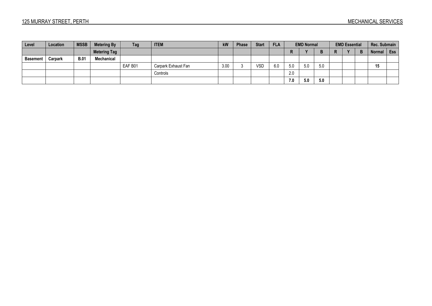| Level           | Location | <b>MSSB</b> | <b>Metering By</b>  | Tag     | <b>ITEM</b>         | kW   | <b>Phase</b> | <b>Start</b> | <b>FLA</b> | <b>EMD Normal</b> |     | <b>EMD Essential</b> |  |  | Rec. Submain |               |     |
|-----------------|----------|-------------|---------------------|---------|---------------------|------|--------------|--------------|------------|-------------------|-----|----------------------|--|--|--------------|---------------|-----|
|                 |          |             | <b>Metering Tag</b> |         |                     |      |              |              |            | n                 |     | D                    |  |  |              | <b>Normal</b> | Ess |
| <b>Basement</b> | Carpark  | <b>B.01</b> | Mechanical          |         |                     |      |              |              |            |                   |     |                      |  |  |              |               |     |
|                 |          |             |                     | EAF B01 | Carpark Exhaust Fan | 3.00 |              | <b>VSD</b>   | 6.0        | 5.0               | 5.0 | 5.0                  |  |  |              | 15            |     |
|                 |          |             |                     |         | Controls            |      |              |              |            | 2.0               |     |                      |  |  |              |               |     |
|                 |          |             |                     |         |                     |      |              |              |            | 7.0               | 5.0 | 5.0                  |  |  |              |               |     |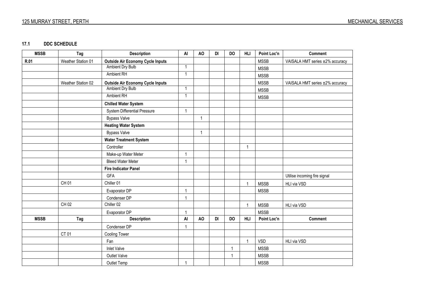# 125 MURRAY STREET, PERTH MECHANICAL SERVICES

#### **17.1DDC SCHEDULE**

| <b>MSSB</b> | Tag                | <b>Description</b>                      | AI           | AO             | DI | <b>DO</b> | <b>HLI</b>     | Point Loc'n | Comment                         |
|-------------|--------------------|-----------------------------------------|--------------|----------------|----|-----------|----------------|-------------|---------------------------------|
| R.01        | Weather Station 01 | <b>Outside Air Economy Cycle Inputs</b> |              |                |    |           |                | <b>MSSB</b> | VAISALA HMT series ±2% accuracy |
|             |                    | <b>Ambient Dry Bulb</b>                 | $\mathbf{1}$ |                |    |           |                | <b>MSSB</b> |                                 |
|             |                    | <b>Ambient RH</b>                       | $\mathbf{1}$ |                |    |           |                | <b>MSSB</b> |                                 |
|             | Weather Station 02 | <b>Outside Air Economy Cycle Inputs</b> |              |                |    |           |                | <b>MSSB</b> | VAISALA HMT series ±2% accuracy |
|             |                    | Ambient Dry Bulb                        | $\mathbf{1}$ |                |    |           |                | <b>MSSB</b> |                                 |
|             |                    | <b>Ambient RH</b>                       | $\mathbf{1}$ |                |    |           |                | <b>MSSB</b> |                                 |
|             |                    | <b>Chilled Water System</b>             |              |                |    |           |                |             |                                 |
|             |                    | System Differential Pressure            | $\mathbf{1}$ |                |    |           |                |             |                                 |
|             |                    | <b>Bypass Valve</b>                     |              | $\mathbf{1}$   |    |           |                |             |                                 |
|             |                    | <b>Heating Water System</b>             |              |                |    |           |                |             |                                 |
|             |                    | <b>Bypass Valve</b>                     |              | $\overline{1}$ |    |           |                |             |                                 |
|             |                    | <b>Water Treatment System</b>           |              |                |    |           |                |             |                                 |
|             |                    | Controller                              |              |                |    |           | $\mathbf{1}$   |             |                                 |
|             |                    | Make-up Water Meter                     | $\mathbf{1}$ |                |    |           |                |             |                                 |
|             |                    | <b>Bleed Water Meter</b>                | $\mathbf{1}$ |                |    |           |                |             |                                 |
|             |                    | <b>Fire Indicator Panel</b>             |              |                |    |           |                |             |                                 |
|             |                    | <b>GFA</b>                              |              |                |    |           |                |             | Utilise incoming fire signal    |
|             | CH 01              | Chiller 01                              |              |                |    |           | $\overline{1}$ | <b>MSSB</b> | HLI via VSD                     |
|             |                    | Evaporator DP                           | $\mathbf{1}$ |                |    |           |                | <b>MSSB</b> |                                 |
|             |                    | Condenser DP                            | 1            |                |    |           |                |             |                                 |
|             | CH 02              | Chiller 02                              |              |                |    |           | $\overline{A}$ | <b>MSSB</b> | HLI via VSD                     |
|             |                    | Evaporator DP                           | 1            |                |    |           |                | <b>MSSB</b> |                                 |
| <b>MSSB</b> | Tag                | <b>Description</b>                      | AI           | AO             | DI | <b>DO</b> | <b>HLI</b>     | Point Loc'n | <b>Comment</b>                  |
|             |                    | Condenser DP                            | 1            |                |    |           |                |             |                                 |
|             | CT 01              | Cooling Tower                           |              |                |    |           |                |             |                                 |
|             |                    | Fan                                     |              |                |    |           | $\overline{1}$ | <b>VSD</b>  | HLI via VSD                     |
|             |                    | <b>Inlet Valve</b>                      |              |                |    | 1         |                | <b>MSSB</b> |                                 |
|             |                    | Outlet Valve                            |              |                |    | 1         |                | <b>MSSB</b> |                                 |
|             |                    | Outlet Temp                             | 1            |                |    |           |                | <b>MSSB</b> |                                 |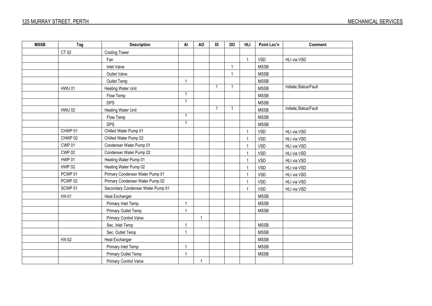| <b>MSSB</b> | Tag                | <b>Description</b>                | AI             | AO           | DI             | <b>DO</b>      | HLI            | Point Loc'n | <b>Comment</b>         |
|-------------|--------------------|-----------------------------------|----------------|--------------|----------------|----------------|----------------|-------------|------------------------|
|             | CT 02              | <b>Cooling Tower</b>              |                |              |                |                |                |             |                        |
|             |                    | Fan                               |                |              |                |                | $\mathbf{1}$   | <b>VSD</b>  | HLI via VSD            |
|             |                    | <b>Inlet Valve</b>                |                |              |                | $\overline{1}$ |                | <b>MSSB</b> |                        |
|             |                    | Outlet Valve                      |                |              |                | $\overline{1}$ |                | <b>MSSB</b> |                        |
|             |                    | Outlet Temp                       | $\mathbf{1}$   |              |                |                |                | <b>MSSB</b> |                        |
|             | <b>HWU 01</b>      | Heating Water Unit                |                |              | $\mathbf{1}$   | $\overline{1}$ |                | <b>MSSB</b> | Initiate, Status/Fault |
|             |                    | Flow Temp                         | $\mathbf{1}$   |              |                |                |                | <b>MSSB</b> |                        |
|             |                    | <b>DPS</b>                        | $\mathbf{1}$   |              |                |                |                | <b>MSSB</b> |                        |
|             | <b>HWU 02</b>      | Heating Water Unit                |                |              | $\overline{1}$ | $\overline{1}$ |                | <b>MSSB</b> | Initiate, Status/Fault |
|             |                    | Flow Temp                         | $\mathbf{1}$   |              |                |                |                | <b>MSSB</b> |                        |
|             |                    | <b>DPS</b>                        | $\mathbf{1}$   |              |                |                |                | <b>MSSB</b> |                        |
|             | CHWP 01            | Chilled Water Pump 01             |                |              |                |                | $\mathbf 1$    | <b>VSD</b>  | HLI via VSD            |
|             | CHWP 02            | Chilled Water Pump 02             |                |              |                |                | $\overline{1}$ | <b>VSD</b>  | HLI via VSD            |
|             | CWP <sub>01</sub>  | Condenser Water Pump 01           |                |              |                |                | $\overline{1}$ | <b>VSD</b>  | HLI via VSD            |
|             | <b>CWP 02</b>      | Condenser Water Pump 02           |                |              |                |                | $\mathbf{1}$   | <b>VSD</b>  | HLI via VSD            |
|             | <b>HWP 01</b>      | Heating Water Pump 01             |                |              |                |                | $\overline{1}$ | <b>VSD</b>  | HLI via VSD            |
|             | <b>HWP 02</b>      | Heating Water Pump 02             |                |              |                |                | $\overline{1}$ | <b>VSD</b>  | HLI via VSD            |
|             | PCWP 01            | Primary Condenser Water Pump 01   |                |              |                |                | $\mathbf{1}$   | <b>VSD</b>  | HLI via VSD            |
|             | PCWP <sub>02</sub> | Primary Condenser Water Pump 02   |                |              |                |                | 1              | <b>VSD</b>  | HLI via VSD            |
|             | SCWP 01            | Secondary Condenser Water Pump 01 |                |              |                |                | $\overline{1}$ | <b>VSD</b>  | HLI via VSD            |
|             | HX-01              | <b>Heat Exchanger</b>             |                |              |                |                |                | <b>MSSB</b> |                        |
|             |                    | Primary Inlet Temp                | $\mathbf{1}$   |              |                |                |                | <b>MSSB</b> |                        |
|             |                    | Primary Outlet Temp               | $\overline{1}$ |              |                |                |                | <b>MSSB</b> |                        |
|             |                    | Primary Control Valve             |                | $\mathbf{1}$ |                |                |                |             |                        |
|             |                    | Sec. Inlet Temp                   | $\mathbf{1}$   |              |                |                |                | <b>MSSB</b> |                        |
|             |                    | Sec. Outlet Temp                  | 1              |              |                |                |                | <b>MSSB</b> |                        |
|             | HX-02              | Heat Exchanger                    |                |              |                |                |                | <b>MSSB</b> |                        |
|             |                    | Primary Inlet Temp                | $\mathbf{1}$   |              |                |                |                | <b>MSSB</b> |                        |
|             |                    | Primary Outlet Temp               | 1              |              |                |                |                | <b>MSSB</b> |                        |
|             |                    | Primary Control Valve             |                | $\mathbf{1}$ |                |                |                |             |                        |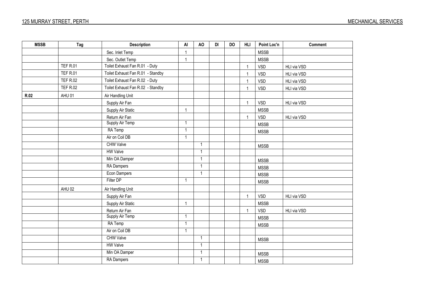| <b>MSSB</b> | Tag             | <b>Description</b>                | AI           | AO             | DI | <b>DO</b> | <b>HLI</b>   | Point Loc'n | <b>Comment</b> |
|-------------|-----------------|-----------------------------------|--------------|----------------|----|-----------|--------------|-------------|----------------|
|             |                 | Sec. Inlet Temp                   | $\mathbf{1}$ |                |    |           |              | <b>MSSB</b> |                |
|             |                 | Sec. Outlet Temp                  | $\mathbf{1}$ |                |    |           |              | <b>MSSB</b> |                |
|             | <b>TEF R.01</b> | Toilet Exhaust Fan R.01 - Duty    |              |                |    |           | $\mathbf{1}$ | VSD         | HLI via VSD    |
|             | <b>TEF R.01</b> | Toilet Exhaust Fan R.01 - Standby |              |                |    |           | $\mathbf{1}$ | VSD         | HLI via VSD    |
|             | <b>TEF R.02</b> | Toilet Exhaust Fan R.02 - Duty    |              |                |    |           | $\mathbf{1}$ | VSD         | HLI via VSD    |
|             | <b>TEF R.02</b> | Toilet Exhaust Fan R.02 - Standby |              |                |    |           | $\mathbf{1}$ | VSD         | HLI via VSD    |
| <b>R.02</b> | AHU 01          | Air Handling Unit                 |              |                |    |           |              |             |                |
|             |                 | Supply Air Fan                    |              |                |    |           | $\mathbf{1}$ | VSD         | HLI via VSD    |
|             |                 | Supply Air Static                 | $\mathbf{1}$ |                |    |           |              | <b>MSSB</b> |                |
|             |                 | Return Air Fan                    |              |                |    |           | $\mathbf{1}$ | VSD         | HLI via VSD    |
|             |                 | Supply Air Temp                   | $\mathbf{1}$ |                |    |           |              | <b>MSSB</b> |                |
|             |                 | RA Temp                           | $\mathbf{1}$ |                |    |           |              | <b>MSSB</b> |                |
|             |                 | Air on Coil DB                    | $\mathbf{1}$ |                |    |           |              |             |                |
|             |                 | <b>CHW Valve</b>                  |              | $\overline{1}$ |    |           |              | <b>MSSB</b> |                |
|             |                 | <b>HW Valve</b>                   |              | $\overline{1}$ |    |           |              |             |                |
|             |                 | Min OA Damper                     |              | $\mathbf{1}$   |    |           |              | <b>MSSB</b> |                |
|             |                 | <b>RA</b> Dampers                 |              | $\mathbf{1}$   |    |           |              | <b>MSSB</b> |                |
|             |                 | <b>Econ Dampers</b>               |              | $\mathbf{1}$   |    |           |              | <b>MSSB</b> |                |
|             |                 | Filter DP                         | $\mathbf{1}$ |                |    |           |              | <b>MSSB</b> |                |
|             | AHU 02          | Air Handling Unit                 |              |                |    |           |              |             |                |
|             |                 | Supply Air Fan                    |              |                |    |           | $\mathbf{1}$ | VSD         | HLI via VSD    |
|             |                 | Supply Air Static                 | $\mathbf{1}$ |                |    |           |              | <b>MSSB</b> |                |
|             |                 | Return Air Fan                    |              |                |    |           | $\mathbf{1}$ | VSD         | HLI via VSD    |
|             |                 | Supply Air Temp                   | $\mathbf{1}$ |                |    |           |              | <b>MSSB</b> |                |
|             |                 | RA Temp                           | $\mathbf{1}$ |                |    |           |              | <b>MSSB</b> |                |
|             |                 | Air on Coil DB                    | $\mathbf{1}$ |                |    |           |              |             |                |
|             |                 | <b>CHW Valve</b>                  |              | $\overline{1}$ |    |           |              | <b>MSSB</b> |                |
|             |                 | <b>HW Valve</b>                   |              | $\mathbf{1}$   |    |           |              |             |                |
|             |                 | Min OA Damper                     |              | $\mathbf{1}$   |    |           |              | <b>MSSB</b> |                |
|             |                 | <b>RA Dampers</b>                 |              | $\mathbf{1}$   |    |           |              | <b>MSSB</b> |                |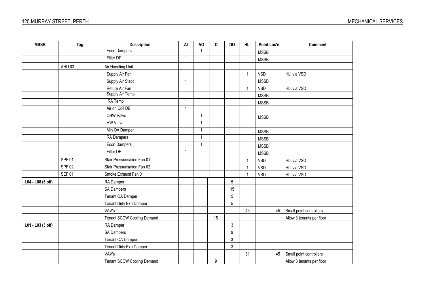| <b>MSSB</b>       | Tag           | <b>Description</b>                | AI             | AO             | DI               | <b>DO</b>        | <b>HLI</b>   | Point Loc'n | <b>Comment</b>            |
|-------------------|---------------|-----------------------------------|----------------|----------------|------------------|------------------|--------------|-------------|---------------------------|
|                   |               | <b>Econ Dampers</b>               |                | $\overline{1}$ |                  |                  |              | <b>MSSB</b> |                           |
|                   |               | Filter DP                         | $\overline{1}$ |                |                  |                  |              | <b>MSSB</b> |                           |
|                   | AHU 03        | Air Handling Unit                 |                |                |                  |                  |              |             |                           |
|                   |               | Supply Air Fan                    |                |                |                  |                  | $\mathbf{1}$ | <b>VSD</b>  | HLI via VSD               |
|                   |               | Supply Air Static                 | $\overline{1}$ |                |                  |                  |              | <b>MSSB</b> |                           |
|                   |               | Return Air Fan                    |                |                |                  |                  | $\mathbf{1}$ | <b>VSD</b>  | HLI via VSD               |
|                   |               | Supply Air Temp                   | $\mathbf{1}$   |                |                  |                  |              | <b>MSSB</b> |                           |
|                   |               | RA Temp                           | $\mathbf{1}$   |                |                  |                  |              | <b>MSSB</b> |                           |
|                   |               | Air on Coil DB                    | $\mathbf{1}$   |                |                  |                  |              |             |                           |
|                   |               | <b>CHW Valve</b>                  |                | $\overline{1}$ |                  |                  |              | <b>MSSB</b> |                           |
|                   |               | <b>HW Valve</b>                   |                | $\mathbf{1}$   |                  |                  |              |             |                           |
|                   |               | Min OA Damper                     |                | $\mathbf{1}$   |                  |                  |              | <b>MSSB</b> |                           |
|                   |               | <b>RA Dampers</b>                 |                | $\mathbf{1}$   |                  |                  |              | <b>MSSB</b> |                           |
|                   |               | <b>Econ Dampers</b>               |                | $\overline{1}$ |                  |                  |              | <b>MSSB</b> |                           |
|                   |               | Filter DP                         | $\mathbf{1}$   |                |                  |                  |              | <b>MSSB</b> |                           |
|                   | <b>SPF 01</b> | Stair Pressurisation Fan 01       |                |                |                  |                  | $\mathbf{1}$ | <b>VSD</b>  | HLI via VSD               |
|                   | <b>SPF 02</b> | Stair Pressurisation Fan 02       |                |                |                  |                  | $\mathbf{1}$ | <b>VSD</b>  | HLI via VSD               |
|                   | <b>SEF 01</b> | Smoke Exhaust Fan 01              |                |                |                  |                  | $\mathbf{1}$ | <b>VSD</b>  | HLI via VSD               |
| L04 - L08 (5 off) |               | RA Damper                         |                |                |                  | 5                |              |             |                           |
|                   |               | <b>SA Dampers</b>                 |                |                |                  | 15               |              |             |                           |
|                   |               | Tenant OA Damper                  |                |                |                  | $\overline{5}$   |              |             |                           |
|                   |               | Tenant Dirty Exh Damper           |                |                |                  | $\overline{5}$   |              |             |                           |
|                   |               | VAV's                             |                |                |                  |                  | 45           | 45          | Small point controllers   |
|                   |               | <b>Tenant SCCW Cooling Demand</b> |                |                | 15               |                  |              |             | Allow 3 tenants per floor |
| L01 - L03 (3 off) |               | RA Damper                         |                |                |                  | $\mathfrak{Z}$   |              |             |                           |
|                   |               | <b>SA Dampers</b>                 |                |                |                  | $\boldsymbol{9}$ |              |             |                           |
|                   |               | <b>Tenant OA Damper</b>           |                |                |                  | $\mathfrak{Z}$   |              |             |                           |
|                   |               | Tenant Dirty Exh Damper           |                |                |                  | $\mathfrak{Z}$   |              |             |                           |
|                   |               | VAV's                             |                |                |                  |                  | 31           | 45          | Small point controllers   |
|                   |               | <b>Tenant SCCW Cooling Demand</b> |                |                | $\boldsymbol{9}$ |                  |              |             | Allow 3 tenants per floor |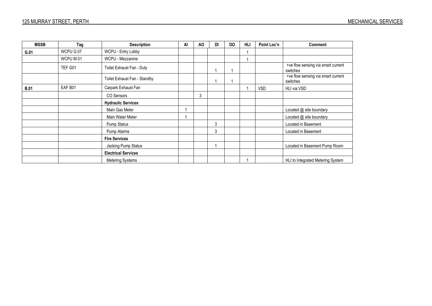| <b>MSSB</b> | Tag       | <b>Description</b>           | AI | AO | DI | <b>DO</b> | <b>HLI</b> | Point Loc'n | <b>Comment</b>                                 |
|-------------|-----------|------------------------------|----|----|----|-----------|------------|-------------|------------------------------------------------|
| G.01        | WCPU G.07 | WCPU - Entry Lobby           |    |    |    |           |            |             |                                                |
|             | WCPU M.01 | WCPU - Mezzanine             |    |    |    |           |            |             |                                                |
|             | TEF G01   | Toilet Exhaust Fan - Duty    |    |    |    |           |            |             | +ve flow sensing via smart current<br>switches |
|             |           | Toilet Exhaust Fan - Standby |    |    |    |           |            |             | +ve flow sensing via smart current<br>switches |
| <b>B.01</b> | EAF B01   | Carpark Exhaust Fan          |    |    |    |           |            | <b>VSD</b>  | HLI via VSD                                    |
|             |           | CO Sensors                   |    | 3  |    |           |            |             |                                                |
|             |           | <b>Hydraulic Services</b>    |    |    |    |           |            |             |                                                |
|             |           | Main Gas Meter               |    |    |    |           |            |             | Located @ site boundary                        |
|             |           | Main Water Meter             |    |    |    |           |            |             | Located @ site boundary                        |
|             |           | Pump Status                  |    |    | 3  |           |            |             | Located in Basement                            |
|             |           | Pump Alarms                  |    |    | 3  |           |            |             | Located in Basement                            |
|             |           | <b>Fire Services</b>         |    |    |    |           |            |             |                                                |
|             |           | Jacking Pump Status          |    |    |    |           |            |             | Located in Basement Pump Room                  |
|             |           | <b>Electrical Services</b>   |    |    |    |           |            |             |                                                |
|             |           | Metering Systems             |    |    |    |           |            |             | HLI to Integrated Metering System              |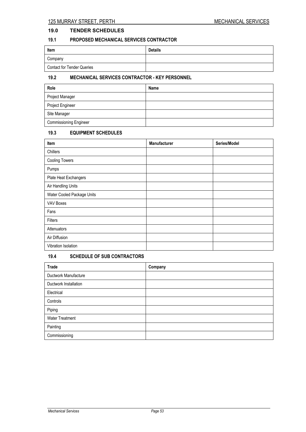# **19.0 TENDER SCHEDULES**

# **19.1 PROPOSED MECHANICAL SERVICES CONTRACTOR**

| Item                              | <b>Details</b> |
|-----------------------------------|----------------|
| Company                           |                |
| <b>Contact for Tender Queries</b> |                |

# **19.2 MECHANICAL SERVICES CONTRACTOR - KEY PERSONNEL**

| Role                          | Name |
|-------------------------------|------|
| Project Manager               |      |
| Project Engineer              |      |
| Site Manager                  |      |
| <b>Commissioning Engineer</b> |      |

# **19.3 EQUIPMENT SCHEDULES**

| Item                       | <b>Manufacturer</b> | Series/Model |
|----------------------------|---------------------|--------------|
| Chillers                   |                     |              |
| <b>Cooling Towers</b>      |                     |              |
| Pumps                      |                     |              |
| Plate Heat Exchangers      |                     |              |
| Air Handling Units         |                     |              |
| Water Cooled Package Units |                     |              |
| VAV Boxes                  |                     |              |
| Fans                       |                     |              |
| Filters                    |                     |              |
| Attenuators                |                     |              |
| Air Diffusion              |                     |              |
| Vibration Isolation        |                     |              |

# **19.4 SCHEDULE OF SUB CONTRACTORS**

| <b>Trade</b>           | Company |
|------------------------|---------|
| Ductwork Manufacture   |         |
| Ductwork Installation  |         |
| Electrical             |         |
| Controls               |         |
| Piping                 |         |
| <b>Water Treatment</b> |         |
| Painting               |         |
| Commissioning          |         |